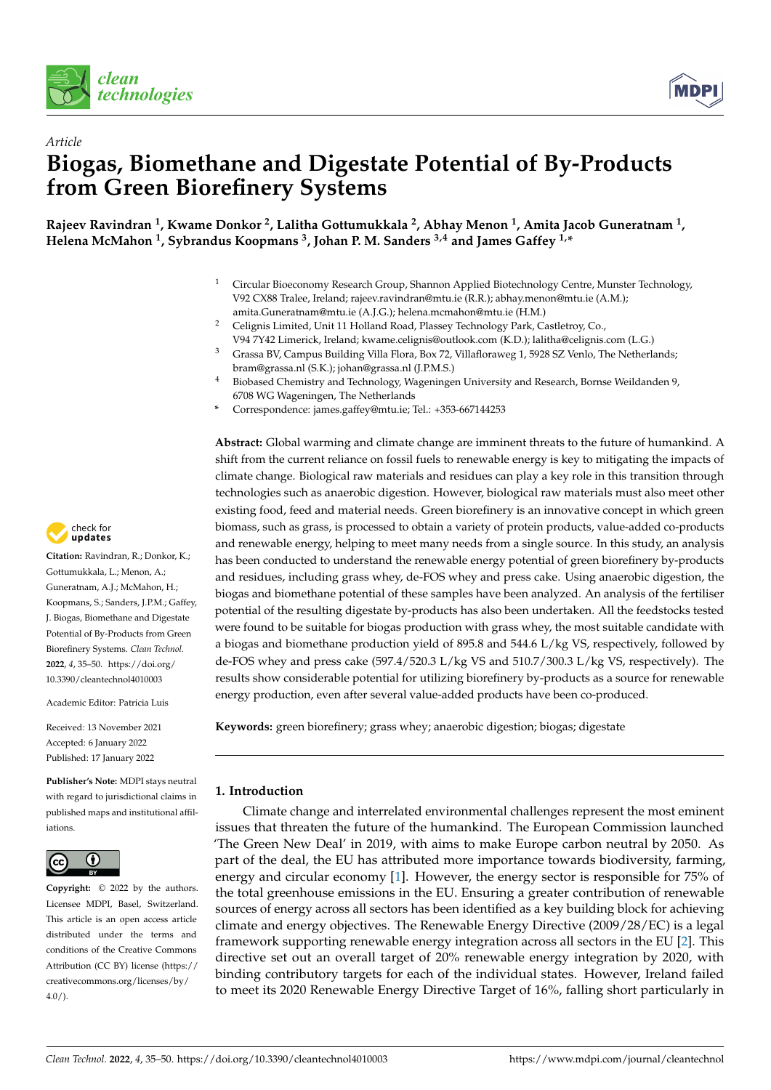



# *Article* **Biogas, Biomethane and Digestate Potential of By-Products from Green Biorefinery Systems**

**Rajeev Ravindran <sup>1</sup> , Kwame Donkor <sup>2</sup> , Lalitha Gottumukkala <sup>2</sup> , Abhay Menon <sup>1</sup> , Amita Jacob Guneratnam <sup>1</sup> , Helena McMahon <sup>1</sup> , Sybrandus Koopmans <sup>3</sup> , Johan P. M. Sanders 3,4 and James Gaffey 1,\***

- <sup>1</sup> Circular Bioeconomy Research Group, Shannon Applied Biotechnology Centre, Munster Technology, V92 CX88 Tralee, Ireland; rajeev.ravindran@mtu.ie (R.R.); abhay.menon@mtu.ie (A.M.); amita.Guneratnam@mtu.ie (A.J.G.); helena.mcmahon@mtu.ie (H.M.)
- <sup>2</sup> Celignis Limited, Unit 11 Holland Road, Plassey Technology Park, Castletroy, Co., V94 7Y42 Limerick, Ireland; kwame.celignis@outlook.com (K.D.); lalitha@celignis.com (L.G.)
- <sup>3</sup> Grassa BV, Campus Building Villa Flora, Box 72, Villafloraweg 1, 5928 SZ Venlo, The Netherlands; bram@grassa.nl (S.K.); johan@grassa.nl (J.P.M.S.)
- <sup>4</sup> Biobased Chemistry and Technology, Wageningen University and Research, Bornse Weildanden 9, 6708 WG Wageningen, The Netherlands
- **\*** Correspondence: james.gaffey@mtu.ie; Tel.: +353-667144253

**Abstract:** Global warming and climate change are imminent threats to the future of humankind. A shift from the current reliance on fossil fuels to renewable energy is key to mitigating the impacts of climate change. Biological raw materials and residues can play a key role in this transition through technologies such as anaerobic digestion. However, biological raw materials must also meet other existing food, feed and material needs. Green biorefinery is an innovative concept in which green biomass, such as grass, is processed to obtain a variety of protein products, value-added co-products and renewable energy, helping to meet many needs from a single source. In this study, an analysis has been conducted to understand the renewable energy potential of green biorefinery by-products and residues, including grass whey, de-FOS whey and press cake. Using anaerobic digestion, the biogas and biomethane potential of these samples have been analyzed. An analysis of the fertiliser potential of the resulting digestate by-products has also been undertaken. All the feedstocks tested were found to be suitable for biogas production with grass whey, the most suitable candidate with a biogas and biomethane production yield of 895.8 and 544.6 L/kg VS, respectively, followed by de-FOS whey and press cake (597.4/520.3 L/kg VS and 510.7/300.3 L/kg VS, respectively). The results show considerable potential for utilizing biorefinery by-products as a source for renewable energy production, even after several value-added products have been co-produced.

**Keywords:** green biorefinery; grass whey; anaerobic digestion; biogas; digestate

## **1. Introduction**

Climate change and interrelated environmental challenges represent the most eminent issues that threaten the future of the humankind. The European Commission launched 'The Green New Deal' in 2019, with aims to make Europe carbon neutral by 2050. As part of the deal, the EU has attributed more importance towards biodiversity, farming, energy and circular economy [\[1\]](#page-13-0). However, the energy sector is responsible for 75% of the total greenhouse emissions in the EU. Ensuring a greater contribution of renewable sources of energy across all sectors has been identified as a key building block for achieving climate and energy objectives. The Renewable Energy Directive (2009/28/EC) is a legal framework supporting renewable energy integration across all sectors in the EU [\[2\]](#page-13-1). This directive set out an overall target of 20% renewable energy integration by 2020, with binding contributory targets for each of the individual states. However, Ireland failed to meet its 2020 Renewable Energy Directive Target of 16%, falling short particularly in



**Citation:** Ravindran, R.; Donkor, K.; Gottumukkala, L.; Menon, A.; Guneratnam, A.J.; McMahon, H.; Koopmans, S.; Sanders, J.P.M.; Gaffey, J. Biogas, Biomethane and Digestate Potential of By-Products from Green Biorefinery Systems. *Clean Technol.* **2022**, *4*, 35–50. [https://doi.org/](https://doi.org/10.3390/cleantechnol4010003) [10.3390/cleantechnol4010003](https://doi.org/10.3390/cleantechnol4010003)

Academic Editor: Patricia Luis

Received: 13 November 2021 Accepted: 6 January 2022 Published: 17 January 2022

**Publisher's Note:** MDPI stays neutral with regard to jurisdictional claims in published maps and institutional affiliations.



**Copyright:** © 2022 by the authors. Licensee MDPI, Basel, Switzerland. This article is an open access article distributed under the terms and conditions of the Creative Commons Attribution (CC BY) license [\(https://](https://creativecommons.org/licenses/by/4.0/) [creativecommons.org/licenses/by/](https://creativecommons.org/licenses/by/4.0/)  $4.0/$ ).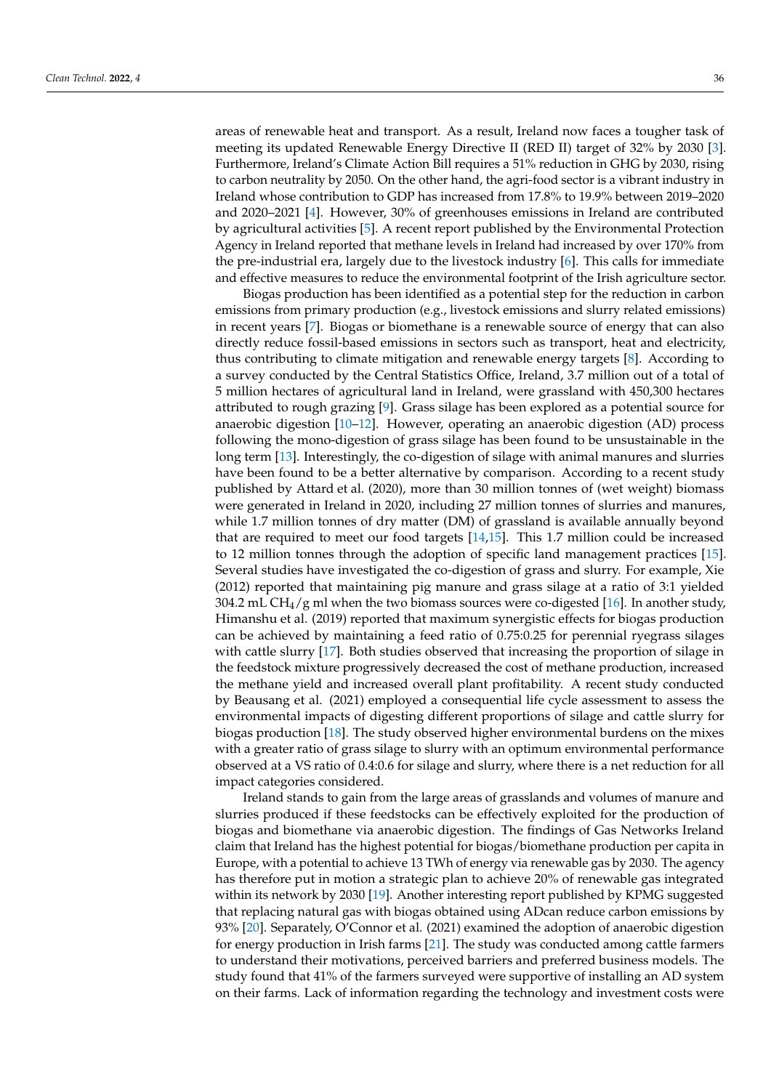areas of renewable heat and transport. As a result, Ireland now faces a tougher task of meeting its updated Renewable Energy Directive II (RED II) target of 32% by 2030 [\[3\]](#page-13-2). Furthermore, Ireland's Climate Action Bill requires a 51% reduction in GHG by 2030, rising to carbon neutrality by 2050. On the other hand, the agri-food sector is a vibrant industry in Ireland whose contribution to GDP has increased from 17.8% to 19.9% between 2019–2020 and 2020–2021 [\[4\]](#page-13-3). However, 30% of greenhouses emissions in Ireland are contributed by agricultural activities [\[5\]](#page-13-4). A recent report published by the Environmental Protection Agency in Ireland reported that methane levels in Ireland had increased by over 170% from the pre-industrial era, largely due to the livestock industry [\[6\]](#page-13-5). This calls for immediate and effective measures to reduce the environmental footprint of the Irish agriculture sector.

Biogas production has been identified as a potential step for the reduction in carbon emissions from primary production (e.g., livestock emissions and slurry related emissions) in recent years [\[7\]](#page-13-6). Biogas or biomethane is a renewable source of energy that can also directly reduce fossil-based emissions in sectors such as transport, heat and electricity, thus contributing to climate mitigation and renewable energy targets [\[8\]](#page-13-7). According to a survey conducted by the Central Statistics Office, Ireland, 3.7 million out of a total of 5 million hectares of agricultural land in Ireland, were grassland with 450,300 hectares attributed to rough grazing [\[9\]](#page-13-8). Grass silage has been explored as a potential source for anaerobic digestion [\[10–](#page-13-9)[12\]](#page-13-10). However, operating an anaerobic digestion (AD) process following the mono-digestion of grass silage has been found to be unsustainable in the long term [\[13\]](#page-13-11). Interestingly, the co-digestion of silage with animal manures and slurries have been found to be a better alternative by comparison. According to a recent study published by Attard et al. (2020), more than 30 million tonnes of (wet weight) biomass were generated in Ireland in 2020, including 27 million tonnes of slurries and manures, while 1.7 million tonnes of dry matter (DM) of grassland is available annually beyond that are required to meet our food targets [\[14](#page-13-12)[,15\]](#page-13-13). This 1.7 million could be increased to 12 million tonnes through the adoption of specific land management practices [\[15\]](#page-13-13). Several studies have investigated the co-digestion of grass and slurry. For example, Xie (2012) reported that maintaining pig manure and grass silage at a ratio of 3:1 yielded 304.2 mL CH<sub>4</sub>/g ml when the two biomass sources were co-digested [\[16\]](#page-13-14). In another study, Himanshu et al. (2019) reported that maximum synergistic effects for biogas production can be achieved by maintaining a feed ratio of 0.75:0.25 for perennial ryegrass silages with cattle slurry [\[17\]](#page-13-15). Both studies observed that increasing the proportion of silage in the feedstock mixture progressively decreased the cost of methane production, increased the methane yield and increased overall plant profitability. A recent study conducted by Beausang et al. (2021) employed a consequential life cycle assessment to assess the environmental impacts of digesting different proportions of silage and cattle slurry for biogas production [\[18\]](#page-13-16). The study observed higher environmental burdens on the mixes with a greater ratio of grass silage to slurry with an optimum environmental performance observed at a VS ratio of 0.4:0.6 for silage and slurry, where there is a net reduction for all impact categories considered.

Ireland stands to gain from the large areas of grasslands and volumes of manure and slurries produced if these feedstocks can be effectively exploited for the production of biogas and biomethane via anaerobic digestion. The findings of Gas Networks Ireland claim that Ireland has the highest potential for biogas/biomethane production per capita in Europe, with a potential to achieve 13 TWh of energy via renewable gas by 2030. The agency has therefore put in motion a strategic plan to achieve 20% of renewable gas integrated within its network by 2030 [\[19\]](#page-13-17). Another interesting report published by KPMG suggested that replacing natural gas with biogas obtained using ADcan reduce carbon emissions by 93% [\[20\]](#page-13-18). Separately, O'Connor et al. (2021) examined the adoption of anaerobic digestion for energy production in Irish farms [\[21\]](#page-13-19). The study was conducted among cattle farmers to understand their motivations, perceived barriers and preferred business models. The study found that 41% of the farmers surveyed were supportive of installing an AD system on their farms. Lack of information regarding the technology and investment costs were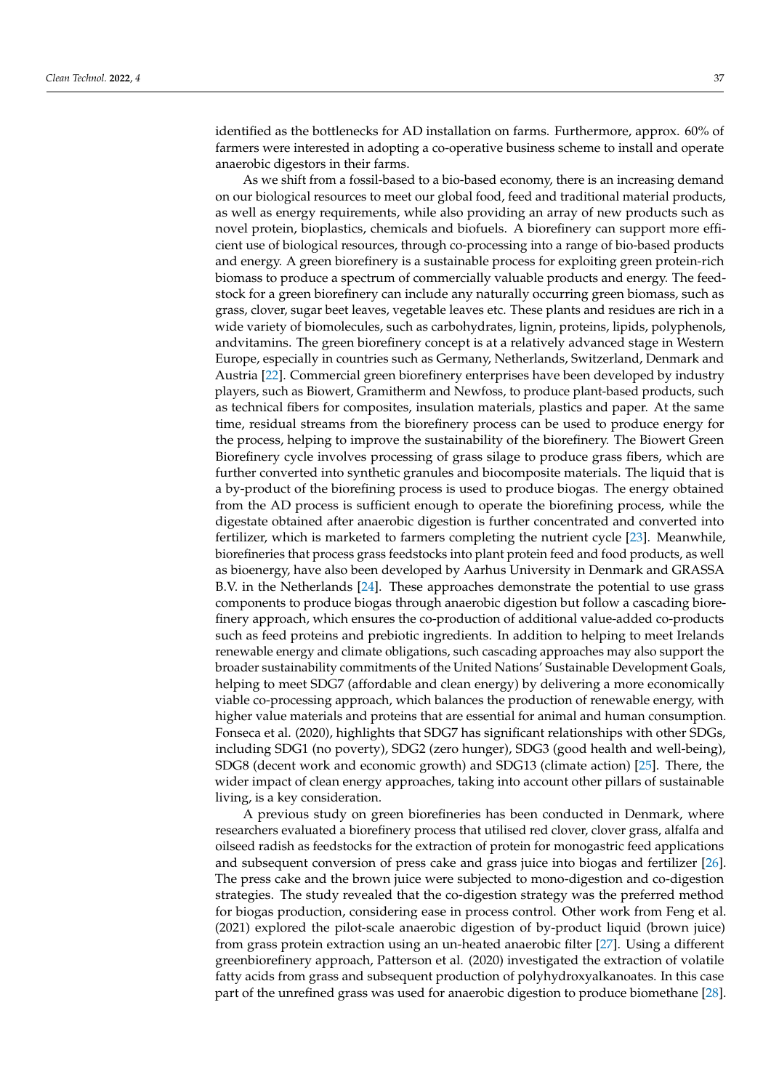identified as the bottlenecks for AD installation on farms. Furthermore, approx. 60% of farmers were interested in adopting a co-operative business scheme to install and operate anaerobic digestors in their farms.

As we shift from a fossil-based to a bio-based economy, there is an increasing demand on our biological resources to meet our global food, feed and traditional material products, as well as energy requirements, while also providing an array of new products such as novel protein, bioplastics, chemicals and biofuels. A biorefinery can support more efficient use of biological resources, through co-processing into a range of bio-based products and energy. A green biorefinery is a sustainable process for exploiting green protein-rich biomass to produce a spectrum of commercially valuable products and energy. The feedstock for a green biorefinery can include any naturally occurring green biomass, such as grass, clover, sugar beet leaves, vegetable leaves etc. These plants and residues are rich in a wide variety of biomolecules, such as carbohydrates, lignin, proteins, lipids, polyphenols, andvitamins. The green biorefinery concept is at a relatively advanced stage in Western Europe, especially in countries such as Germany, Netherlands, Switzerland, Denmark and Austria [\[22\]](#page-13-20). Commercial green biorefinery enterprises have been developed by industry players, such as Biowert, Gramitherm and Newfoss, to produce plant-based products, such as technical fibers for composites, insulation materials, plastics and paper. At the same time, residual streams from the biorefinery process can be used to produce energy for the process, helping to improve the sustainability of the biorefinery. The Biowert Green Biorefinery cycle involves processing of grass silage to produce grass fibers, which are further converted into synthetic granules and biocomposite materials. The liquid that is a by-product of the biorefining process is used to produce biogas. The energy obtained from the AD process is sufficient enough to operate the biorefining process, while the digestate obtained after anaerobic digestion is further concentrated and converted into fertilizer, which is marketed to farmers completing the nutrient cycle [\[23\]](#page-13-21). Meanwhile, biorefineries that process grass feedstocks into plant protein feed and food products, as well as bioenergy, have also been developed by Aarhus University in Denmark and GRASSA B.V. in the Netherlands [\[24\]](#page-14-0). These approaches demonstrate the potential to use grass components to produce biogas through anaerobic digestion but follow a cascading biorefinery approach, which ensures the co-production of additional value-added co-products such as feed proteins and prebiotic ingredients. In addition to helping to meet Irelands renewable energy and climate obligations, such cascading approaches may also support the broader sustainability commitments of the United Nations' Sustainable Development Goals, helping to meet SDG7 (affordable and clean energy) by delivering a more economically viable co-processing approach, which balances the production of renewable energy, with higher value materials and proteins that are essential for animal and human consumption. Fonseca et al. (2020), highlights that SDG7 has significant relationships with other SDGs, including SDG1 (no poverty), SDG2 (zero hunger), SDG3 (good health and well-being), SDG8 (decent work and economic growth) and SDG13 (climate action) [\[25\]](#page-14-1). There, the wider impact of clean energy approaches, taking into account other pillars of sustainable living, is a key consideration.

A previous study on green biorefineries has been conducted in Denmark, where researchers evaluated a biorefinery process that utilised red clover, clover grass, alfalfa and oilseed radish as feedstocks for the extraction of protein for monogastric feed applications and subsequent conversion of press cake and grass juice into biogas and fertilizer [\[26\]](#page-14-2). The press cake and the brown juice were subjected to mono-digestion and co-digestion strategies. The study revealed that the co-digestion strategy was the preferred method for biogas production, considering ease in process control. Other work from Feng et al. (2021) explored the pilot-scale anaerobic digestion of by-product liquid (brown juice) from grass protein extraction using an un-heated anaerobic filter [\[27\]](#page-14-3). Using a different greenbiorefinery approach, Patterson et al. (2020) investigated the extraction of volatile fatty acids from grass and subsequent production of polyhydroxyalkanoates. In this case part of the unrefined grass was used for anaerobic digestion to produce biomethane [\[28\]](#page-14-4).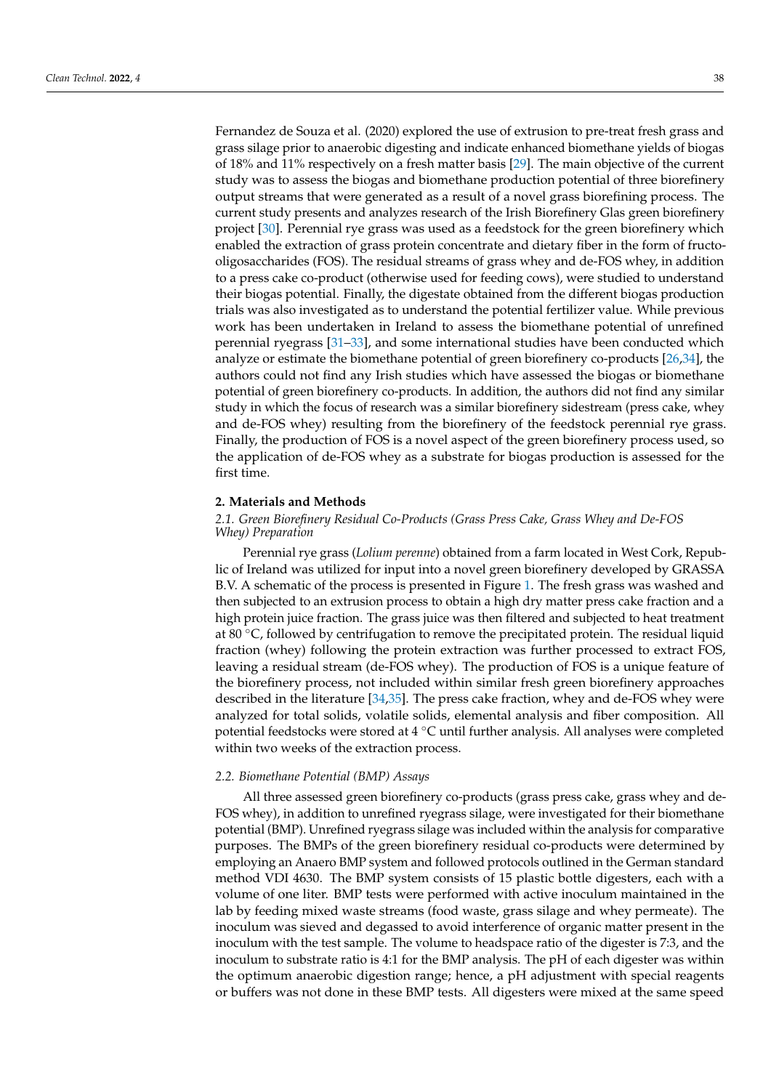Fernandez de Souza et al. (2020) explored the use of extrusion to pre-treat fresh grass and grass silage prior to anaerobic digesting and indicate enhanced biomethane yields of biogas of 18% and 11% respectively on a fresh matter basis [\[29\]](#page-14-5). The main objective of the current study was to assess the biogas and biomethane production potential of three biorefinery output streams that were generated as a result of a novel grass biorefining process. The current study presents and analyzes research of the Irish Biorefinery Glas green biorefinery project [\[30\]](#page-14-6). Perennial rye grass was used as a feedstock for the green biorefinery which enabled the extraction of grass protein concentrate and dietary fiber in the form of fructooligosaccharides (FOS). The residual streams of grass whey and de-FOS whey, in addition to a press cake co-product (otherwise used for feeding cows), were studied to understand their biogas potential. Finally, the digestate obtained from the different biogas production trials was also investigated as to understand the potential fertilizer value. While previous work has been undertaken in Ireland to assess the biomethane potential of unrefined perennial ryegrass [\[31–](#page-14-7)[33\]](#page-14-8), and some international studies have been conducted which analyze or estimate the biomethane potential of green biorefinery co-products [\[26,](#page-14-2)[34\]](#page-14-9), the authors could not find any Irish studies which have assessed the biogas or biomethane potential of green biorefinery co-products. In addition, the authors did not find any similar study in which the focus of research was a similar biorefinery sidestream (press cake, whey and de-FOS whey) resulting from the biorefinery of the feedstock perennial rye grass. Finally, the production of FOS is a novel aspect of the green biorefinery process used, so the application of de-FOS whey as a substrate for biogas production is assessed for the first time.

## **2. Materials and Methods**

## *2.1. Green Biorefinery Residual Co-Products (Grass Press Cake, Grass Whey and De-FOS Whey) Preparation*

Perennial rye grass (*Lolium perenne*) obtained from a farm located in West Cork, Republic of Ireland was utilized for input into a novel green biorefinery developed by GRASSA B.V. A schematic of the process is presented in Figure [1.](#page-4-0) The fresh grass was washed and then subjected to an extrusion process to obtain a high dry matter press cake fraction and a high protein juice fraction. The grass juice was then filtered and subjected to heat treatment at 80 ◦C, followed by centrifugation to remove the precipitated protein. The residual liquid fraction (whey) following the protein extraction was further processed to extract FOS, leaving a residual stream (de-FOS whey). The production of FOS is a unique feature of the biorefinery process, not included within similar fresh green biorefinery approaches described in the literature [\[34,](#page-14-9)[35\]](#page-14-10). The press cake fraction, whey and de-FOS whey were analyzed for total solids, volatile solids, elemental analysis and fiber composition. All potential feedstocks were stored at 4 ◦C until further analysis. All analyses were completed within two weeks of the extraction process.

## *2.2. Biomethane Potential (BMP) Assays*

All three assessed green biorefinery co-products (grass press cake, grass whey and de-FOS whey), in addition to unrefined ryegrass silage, were investigated for their biomethane potential (BMP). Unrefined ryegrass silage was included within the analysis for comparative purposes. The BMPs of the green biorefinery residual co-products were determined by employing an Anaero BMP system and followed protocols outlined in the German standard method VDI 4630. The BMP system consists of 15 plastic bottle digesters, each with a volume of one liter. BMP tests were performed with active inoculum maintained in the lab by feeding mixed waste streams (food waste, grass silage and whey permeate). The inoculum was sieved and degassed to avoid interference of organic matter present in the inoculum with the test sample. The volume to headspace ratio of the digester is 7:3, and the inoculum to substrate ratio is 4:1 for the BMP analysis. The pH of each digester was within the optimum anaerobic digestion range; hence, a pH adjustment with special reagents or buffers was not done in these BMP tests. All digesters were mixed at the same speed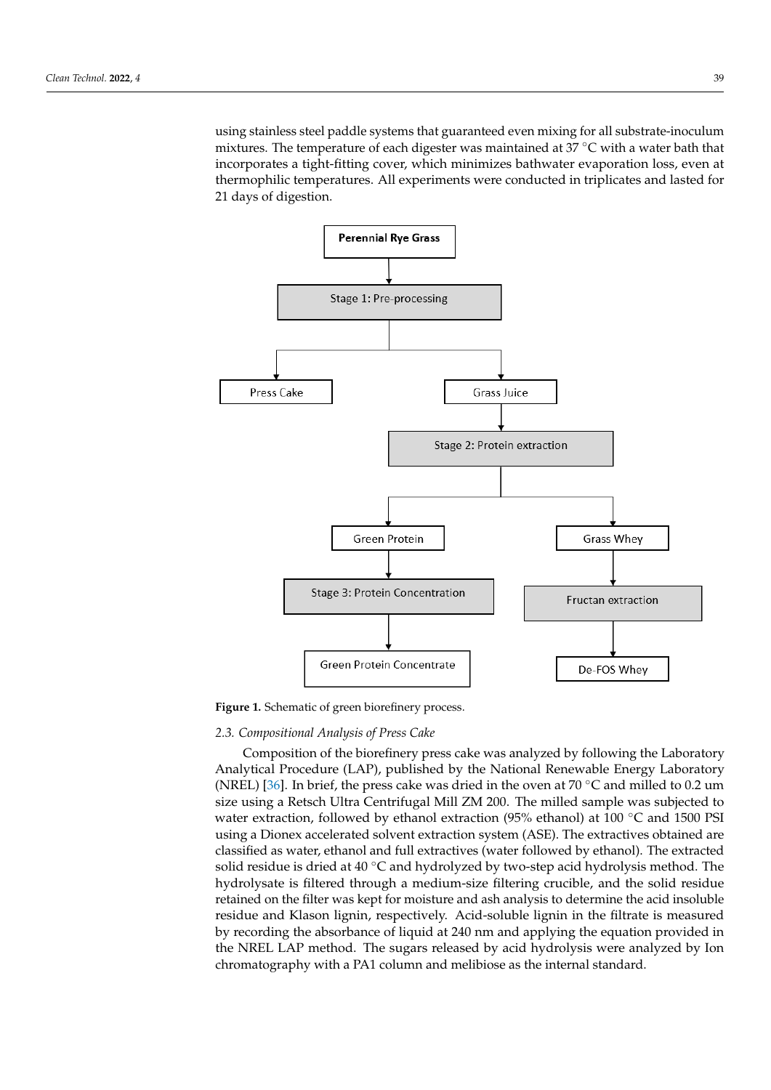using stainless steel paddle systems that guaranteed even mixing for all substrate-inoculum mixtures. The temperature of each digester was maintained at 37 ◦C with a water bath that incorporates a tight-fitting cover, which minimizes bathwater evaporation loss, even at thermophilic temperatures. All experiments were conducted in triplicates and lasted for 21 days of digestion.

<span id="page-4-0"></span>

Figure 1. Schematic of green biorefinery process.

## *2.3. Compositional Analysis of Press Cake*

**Figure 1. Figure 2. Figure 1. Composition of the biorefinery press cake was analyzed by following the Laboratory** *(NREL)* [36]. In brief, the press cake was dried in the oven at 70 °C and milled to 0.2 um size using a Retsch Ultra Centrifugal Mill ZM 200. The milled sample was subjected to<br> $(25\%)$ water extraction, is in a by emanor extraction (33% chanor) at 100 °C and 1500 1 51 using a Dionex accelerated solvent extraction system (ASE). The extractives obtained are classified as water, ethanol and full extractives (water followed by ethanol). The extracted solid residue is dried at 40 °C and hydrolyzed by two-step acid hydrolysis method. The hydrolysate is filtered through a medium-size filtering crucible, and the solid residue retained on the filter was kept for moisture and ash analysis to determine the acid insoluble<br>recidus and Klassn limin, respectively. Asid soluble limin in the filtrate is measured by recording the absorbance of liquid at 240 nm and applying the equation provided in the NREL LAP method. The sugars released by acid hydrolysis were analyzed by Ion chromatography with a PA1 column and melibiose as the internal standard. Analytical Procedure (LAP), published by the National Renewable Energy Laboratory water extraction, followed by ethanol extraction (95% ethanol) at 100 ◦C and 1500 PSI residue and Klason lignin, respectively. Acid-soluble lignin in the filtrate is measured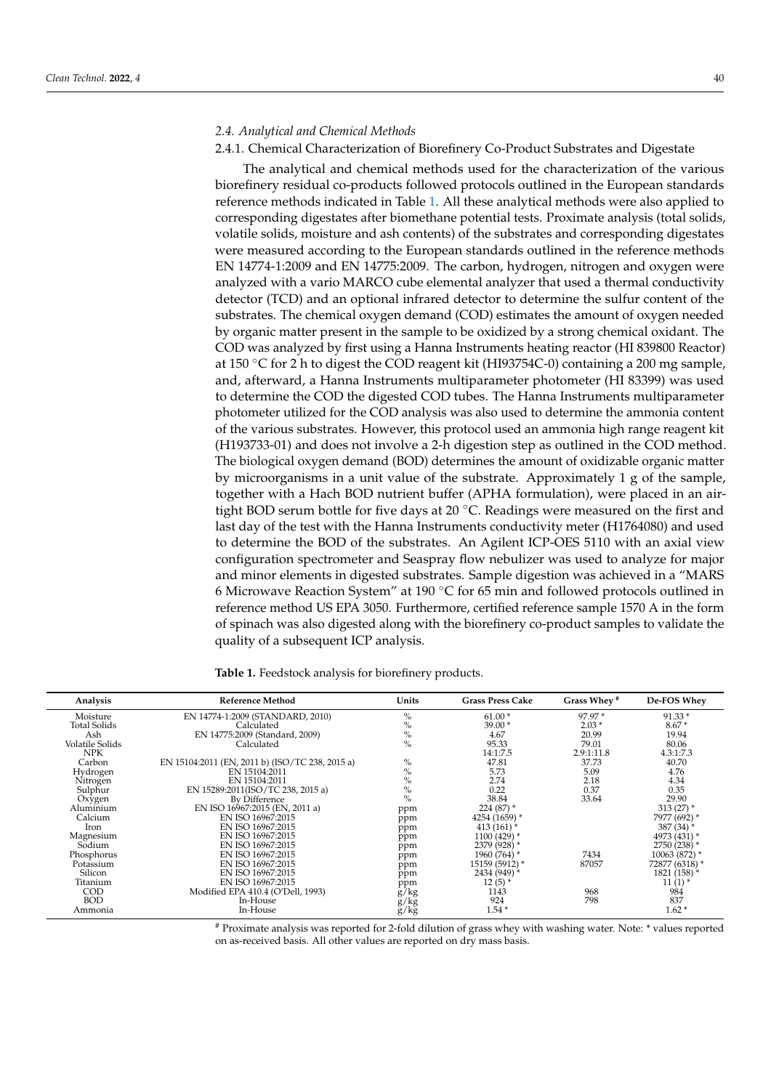#### 2.4.1. Chemical Characterization of Biorefinery Co-Product Substrates and Digestate

The analytical and chemical methods used for the characterization of the various biorefinery residual co-products followed protocols outlined in the European standards reference methods indicated in Table [1.](#page-5-0) All these analytical methods were also applied to corresponding digestates after biomethane potential tests. Proximate analysis (total solids, volatile solids, moisture and ash contents) of the substrates and corresponding digestates were measured according to the European standards outlined in the reference methods EN 14774-1:2009 and EN 14775:2009. The carbon, hydrogen, nitrogen and oxygen were analyzed with a vario MARCO cube elemental analyzer that used a thermal conductivity detector (TCD) and an optional infrared detector to determine the sulfur content of the substrates. The chemical oxygen demand (COD) estimates the amount of oxygen needed by organic matter present in the sample to be oxidized by a strong chemical oxidant. The COD was analyzed by first using a Hanna Instruments heating reactor (HI 839800 Reactor) at 150 ◦C for 2 h to digest the COD reagent kit (HI93754C-0) containing a 200 mg sample, and, afterward, a Hanna Instruments multiparameter photometer (HI 83399) was used to determine the COD the digested COD tubes. The Hanna Instruments multiparameter photometer utilized for the COD analysis was also used to determine the ammonia content of the various substrates. However, this protocol used an ammonia high range reagent kit (H193733-01) and does not involve a 2-h digestion step as outlined in the COD method. The biological oxygen demand (BOD) determines the amount of oxidizable organic matter by microorganisms in a unit value of the substrate. Approximately 1 g of the sample, together with a Hach BOD nutrient buffer (APHA formulation), were placed in an airtight BOD serum bottle for five days at 20  $\degree$ C. Readings were measured on the first and last day of the test with the Hanna Instruments conductivity meter (H1764080) and used to determine the BOD of the substrates. An Agilent ICP-OES 5110 with an axial view configuration spectrometer and Seaspray flow nebulizer was used to analyze for major and minor elements in digested substrates. Sample digestion was achieved in a "MARS 6 Microwave Reaction System" at 190 ◦C for 65 min and followed protocols outlined in reference method US EPA 3050. Furthermore, certified reference sample 1570 A in the form of spinach was also digested along with the biorefinery co-product samples to validate the quality of a subsequent ICP analysis.

| Analysis            | Reference Method                                | Units         | <b>Grass Press Cake</b>  | Grass Whey <sup>#</sup> | De-FOS Whey    |
|---------------------|-------------------------------------------------|---------------|--------------------------|-------------------------|----------------|
| Moisture            | EN 14774-1:2009 (STANDARD, 2010)                | $\%$          | $61.00*$                 | 97.97 *                 | $91.33*$       |
| <b>Total Solids</b> | Calculated                                      | $\frac{0}{0}$ | $39.00*$                 | $2.03*$                 | $8.67*$        |
| Ash                 | EN 14775:2009 (Standard, 2009)                  | $\%$          | 4.67                     | 20.99                   | 19.94          |
| Volatile Solids     | Calculated                                      | $\frac{0}{0}$ | 95.33                    | 79.01                   | 80.06          |
| NPK                 |                                                 |               | 14:1:7.5                 | 2.9:1:11.8              | 4.3:1:7.3      |
| Carbon              | EN 15104:2011 (EN, 2011 b) (ISO/TC 238, 2015 a) | $\%$          | 47.81                    | 37.73                   | 40.70          |
| Hydrogen            | EN 15104:2011                                   | $\%$          | 5.73                     | 5.09                    | 4.76           |
| Nitrogen            | EN 15104:2011                                   | $\%$          | 2.74                     | 2.18                    | 4.34           |
| Sulphur             | EN 15289:2011(ISO/TC 238, 2015 a)               | $\%$          | 0.22                     | 0.37                    | 0.35           |
| Oxygen              | By Difference                                   | $\%$          | 38.84                    | 33.64                   | 29.90          |
| Aluminium           | EN ISO 16967:2015 (EN, 2011 a)                  | ppm           | $224(87)$ *              |                         | 313 $(27)$ *   |
| Calcium             | EN ISO 16967:2015                               | ppm           | $4254(1659)$ *           |                         | 7977 (692) *   |
| Iron                | EN ISO 16967:2015                               | ppm           | 413 $(161)$ <sup>*</sup> |                         | 387 (34) *     |
| Magnesium           | EN ISO 16967:2015                               | ppm           | $1100(429)$ *            |                         | 4973 (431) *   |
| Sodium              | EN ISO 16967:2015                               | ppm           | 2379 (928) *             |                         | 2750 (238) *   |
| Phosphorus          | EN ISO 16967:2015                               | ppm           | 1960 (764) *             | 7434                    | 10063 (872) *  |
| Potassium           | EN ISO 16967:2015                               | ppm           | 15159 (5912) *           | 87057                   | 72877 (6318) * |
| Silicon             | EN ISO 16967:2015                               | ppm           | 2434 (949) *             |                         | 1821 (158) *   |
| Titanium            | EN ISO 16967:2015                               | ppm           | $12(5)$ *                |                         | $11(1)$ *      |
| <b>COD</b>          | Modified EPA 410.4 (O'Dell, 1993)               | g/kg          | 1143                     | 968                     | 984            |
| <b>BOD</b>          | In-House                                        | $\frac{8}{8}$ | 924                      | 798                     | 837            |
| Ammonia             | In-House                                        | g/kg          | $1.54*$                  |                         | $1.62*$        |

<span id="page-5-0"></span>**Table 1.** Feedstock analysis for biorefinery products.

# Proximate analysis was reported for 2-fold dilution of grass whey with washing water. Note: \* values reported on as-received basis. All other values are reported on dry mass basis.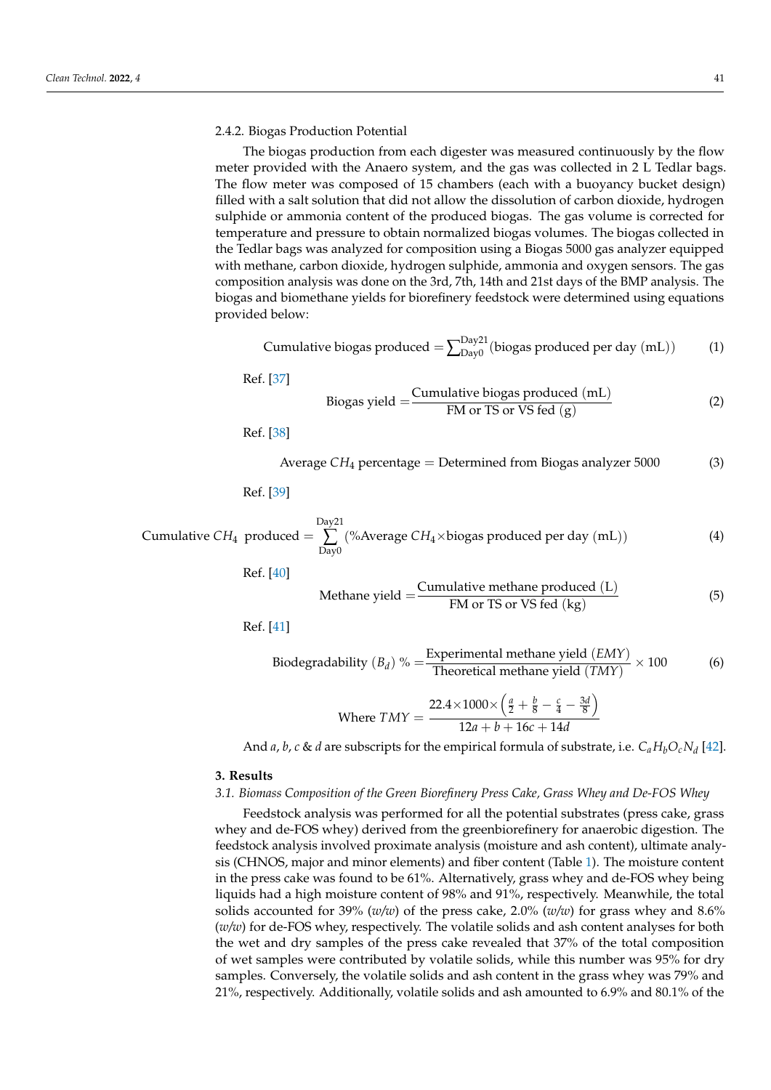#### 2.4.2. Biogas Production Potential

The biogas production from each digester was measured continuously by the flow meter provided with the Anaero system, and the gas was collected in 2 L Tedlar bags. The flow meter was composed of 15 chambers (each with a buoyancy bucket design) filled with a salt solution that did not allow the dissolution of carbon dioxide, hydrogen sulphide or ammonia content of the produced biogas. The gas volume is corrected for temperature and pressure to obtain normalized biogas volumes. The biogas collected in the Tedlar bags was analyzed for composition using a Biogas 5000 gas analyzer equipped with methane, carbon dioxide, hydrogen sulphide, ammonia and oxygen sensors. The gas composition analysis was done on the 3rd, 7th, 14th and 21st days of the BMP analysis. The biogas and biomethane yields for biorefinery feedstock were determined using equations provided below:

Cumulative biogas produced 
$$
=\sum_{Day0}^{Day21}
$$
 (biogas produced per day (mL)) (1)

Ref. [\[37\]](#page-14-12)

Biogas yield 
$$
=\frac{\text{Cumulative biogas produced (mL)}}{\text{FM or TS or VS fed (g)}}
$$
 (2)

Ref. [\[38\]](#page-14-13)

Average 
$$
CH_4
$$
 percentage = Determined from Biogas analyzer 5000 (3)

Ref. [\[39\]](#page-14-14)

Cumulative 
$$
CH_4
$$
 produced =  $\sum_{Day0}^{Day21} (\% Average CH_4 \times biogas produced per day (mL))$  (4)

Ref. [\[40\]](#page-14-15)

Method:

\n
$$
Method = \frac{Cumulative \text{ method } (L)}{FM \text{ or } TS \text{ or } VS \text{ fed } (kg)}\tag{5}
$$

Ref. [\[41\]](#page-14-16)

Biodegradability (*B<sub>d</sub>*) % = 
$$
\frac{\text{Experimental methane yield } (EMY)}{\text{Theoretical methane yield } (TMY)} \times 100
$$
 (6)

Where 
$$
TMY = \frac{22.4 \times 1000 \times \left(\frac{a}{2} + \frac{b}{8} - \frac{c}{4} - \frac{3d}{8}\right)}{12a + b + 16c + 14d}
$$

And *a*, *b*, *c* & *d* are subscripts for the empirical formula of substrate, i.e. *CaHbOcN<sup>d</sup>* [\[42\]](#page-14-17).

## **3. Results**

#### <span id="page-6-0"></span>*3.1. Biomass Composition of the Green Biorefinery Press Cake, Grass Whey and De-FOS Whey*

Feedstock analysis was performed for all the potential substrates (press cake, grass whey and de-FOS whey) derived from the greenbiorefinery for anaerobic digestion. The feedstock analysis involved proximate analysis (moisture and ash content), ultimate analysis (CHNOS, major and minor elements) and fiber content (Table [1\)](#page-5-0). The moisture content in the press cake was found to be 61%. Alternatively, grass whey and de-FOS whey being liquids had a high moisture content of 98% and 91%, respectively. Meanwhile, the total solids accounted for 39% (*w/w*) of the press cake, 2.0% (*w/w*) for grass whey and 8.6% (*w/w*) for de-FOS whey, respectively. The volatile solids and ash content analyses for both the wet and dry samples of the press cake revealed that 37% of the total composition of wet samples were contributed by volatile solids, while this number was 95% for dry samples. Conversely, the volatile solids and ash content in the grass whey was 79% and 21%, respectively. Additionally, volatile solids and ash amounted to 6.9% and 80.1% of the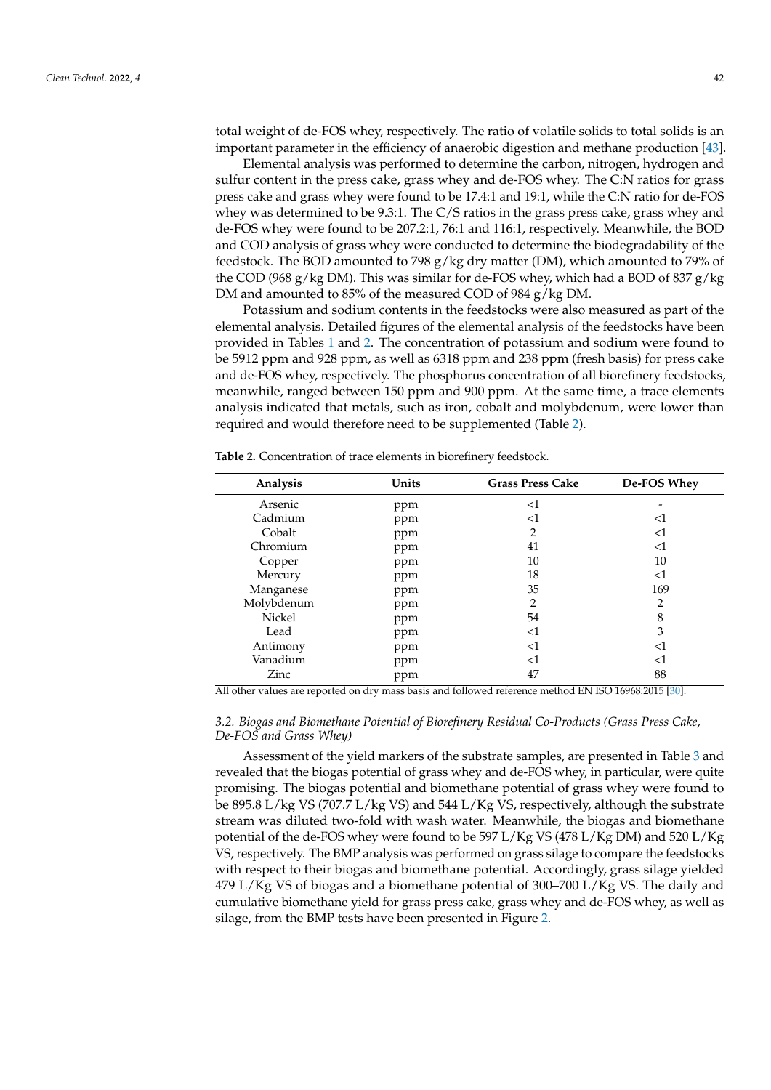total weight of de-FOS whey, respectively. The ratio of volatile solids to total solids is an important parameter in the efficiency of anaerobic digestion and methane production [\[43\]](#page-14-18).

Elemental analysis was performed to determine the carbon, nitrogen, hydrogen and sulfur content in the press cake, grass whey and de-FOS whey. The C:N ratios for grass press cake and grass whey were found to be 17.4:1 and 19:1, while the C:N ratio for de-FOS whey was determined to be 9.3:1. The C/S ratios in the grass press cake, grass whey and de-FOS whey were found to be 207.2:1, 76:1 and 116:1, respectively. Meanwhile, the BOD and COD analysis of grass whey were conducted to determine the biodegradability of the feedstock. The BOD amounted to 798 g/kg dry matter (DM), which amounted to 79% of the COD (968 g/kg DM). This was similar for de-FOS whey, which had a BOD of 837 g/kg DM and amounted to 85% of the measured COD of 984 g/kg DM.

Potassium and sodium contents in the feedstocks were also measured as part of the elemental analysis. Detailed figures of the elemental analysis of the feedstocks have been provided in Tables [1](#page-5-0) and [2.](#page-7-0) The concentration of potassium and sodium were found to be 5912 ppm and 928 ppm, as well as 6318 ppm and 238 ppm (fresh basis) for press cake and de-FOS whey, respectively. The phosphorus concentration of all biorefinery feedstocks, meanwhile, ranged between 150 ppm and 900 ppm. At the same time, a trace elements analysis indicated that metals, such as iron, cobalt and molybdenum, were lower than required and would therefore need to be supplemented (Table [2\)](#page-7-0).

| Analysis   | Units | <b>Grass Press Cake</b> | De-FOS Whey |
|------------|-------|-------------------------|-------------|
| Arsenic    | ppm   | <1                      |             |
| Cadmium    | ppm   | $<$ 1                   | <1          |
| Cobalt     | ppm   | $\overline{2}$          | <1          |
| Chromium   | ppm   | 41                      | <1          |
| Copper     | ppm   | 10                      | 10          |
| Mercury    | ppm   | 18                      | $<$ 1       |
| Manganese  | ppm   | 35                      | 169         |
| Molybdenum | ppm   | 2                       | 2           |
| Nickel     | ppm   | 54                      | 8           |
| Lead       | ppm   | $<$ 1                   | 3           |
| Antimony   | ppm   | $<$ 1                   | <1          |
| Vanadium   | ppm   | $<$ 1                   | <1          |
| Zinc       | ppm   | 47                      | 88          |

<span id="page-7-0"></span>**Table 2.** Concentration of trace elements in biorefinery feedstock.

All other values are reported on dry mass basis and followed reference method EN ISO 16968:2015 [\[30\]](#page-14-6).

## *3.2. Biogas and Biomethane Potential of Biorefinery Residual Co-Products (Grass Press Cake, De-FOS and Grass Whey)*

Assessment of the yield markers of the substrate samples, are presented in Table [3](#page-8-0) and revealed that the biogas potential of grass whey and de-FOS whey, in particular, were quite promising. The biogas potential and biomethane potential of grass whey were found to be 895.8 L/kg VS (707.7 L/kg VS) and 544 L/Kg VS, respectively, although the substrate stream was diluted two-fold with wash water. Meanwhile, the biogas and biomethane potential of the de-FOS whey were found to be 597 L/Kg VS (478 L/Kg DM) and 520 L/Kg VS, respectively. The BMP analysis was performed on grass silage to compare the feedstocks with respect to their biogas and biomethane potential. Accordingly, grass silage yielded 479 L/Kg VS of biogas and a biomethane potential of 300–700 L/Kg VS. The daily and cumulative biomethane yield for grass press cake, grass whey and de-FOS whey, as well as silage, from the BMP tests have been presented in Figure [2.](#page-8-1)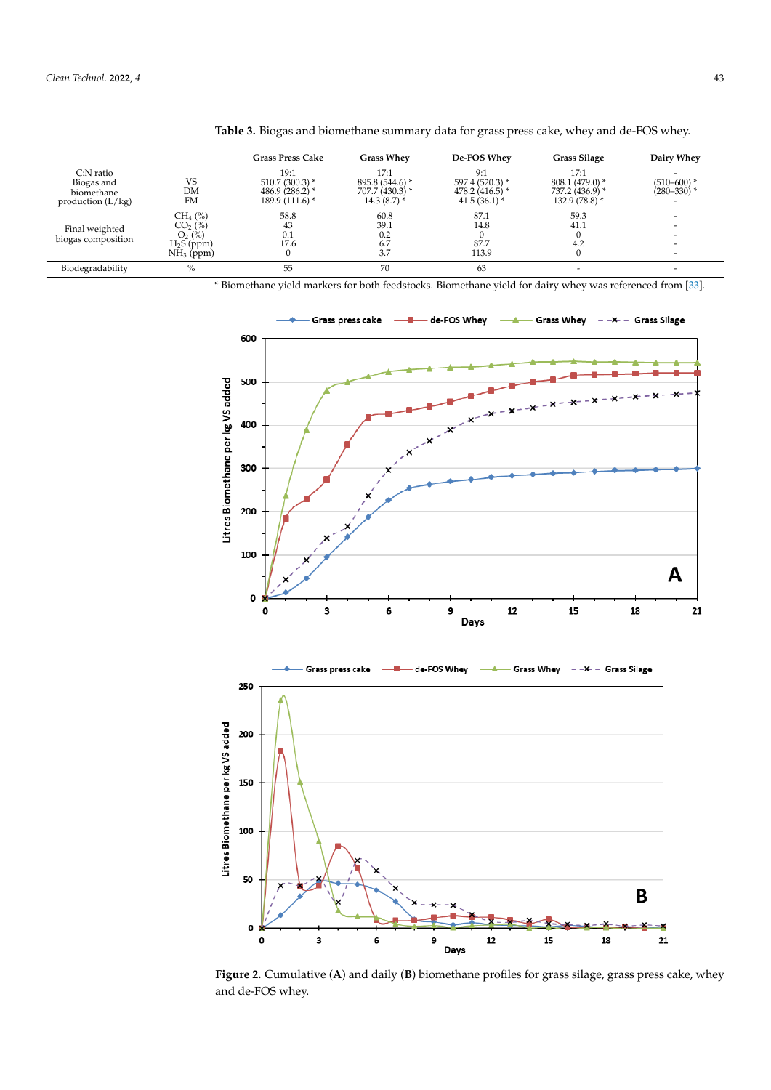|                                      |              | <b>Grass Press Cake</b>               | <b>Grass Whev</b>                 | De-FOS Whey                        | <b>Grass Silage</b>                | Dairy Whey                                  |
|--------------------------------------|--------------|---------------------------------------|-----------------------------------|------------------------------------|------------------------------------|---------------------------------------------|
| $C:$ N ratio<br>Biogas and           | VS           | 19:1<br>$510.7(300.3)$ *              | 17:1<br>895.8 (544.6) *           | 9:1<br>597.4 (520.3) *             | 17:1<br>$808.1 (479.0)^*$          | $(510 - 600)$ *                             |
| biomethane<br>production $(L/kg)$    | DM<br>FM     | 486.9 $(286.2)$ *<br>$189.9(111.6)$ * | $707.7(430.3)$ *<br>$14.3(8.7)$ * | $478.2(416.5)$ *<br>$41.5(36.1)$ * | 737.2 (436.9) *<br>$132.9(78.8)$ * | $(280 - 330)$ *<br>$\overline{\phantom{0}}$ |
| Final weighted<br>biogas composition | $CH_4$ (%)   | 58.8                                  | 60.8                              | 87.1                               | 59.3                               | $\overline{\phantom{0}}$                    |
|                                      | $CO2$ (%)    | 43                                    | 39.1                              | 14.8                               | 41.1                               |                                             |
|                                      | $O_2$ (%)    | 0.1                                   | 0.2                               |                                    |                                    | -                                           |
|                                      | $H_2S$ (ppm) | 17.6                                  | 6.7                               | 87.7                               | 4.2                                |                                             |
|                                      | $NH3$ (ppm)  | 0                                     | 3.7                               | 113.9                              |                                    | $\overline{\phantom{0}}$                    |
| Biodegradability                     | $\%$         | 55                                    | 70                                | 63                                 |                                    |                                             |

<span id="page-8-0"></span>**Table 3.** Biogas and biomethane summary data for grass press cake, whey and de-FOS whey.

\* Biomethane yield markers for both feedstocks. Biomethane yield for dairy whey was referenced from [\[33\]](#page-14-8).

<span id="page-8-1"></span>

**Figure 2.** Cumulative (A) and daily (B) biomethane profiles for grass silage, grass press cake, whey and de-FOS whey. and de-FOS whey.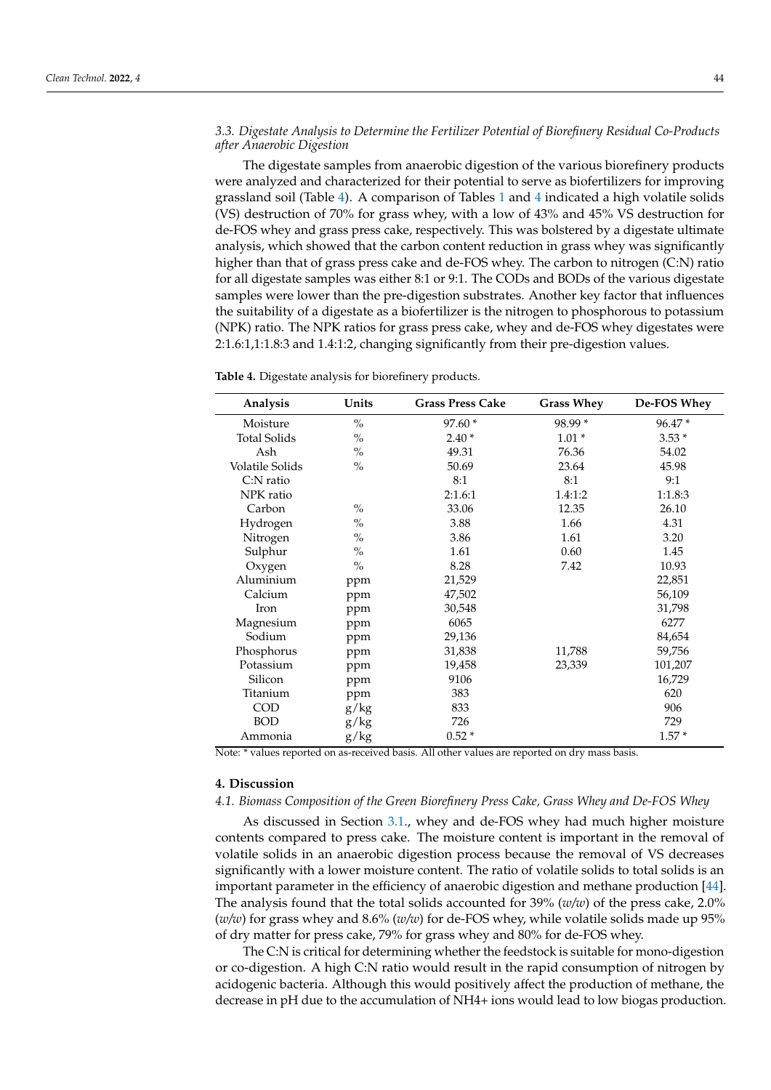## *3.3. Digestate Analysis to Determine the Fertilizer Potential of Biorefinery Residual Co-Products after Anaerobic Digestion*

The digestate samples from anaerobic digestion of the various biorefinery products were analyzed and characterized for their potential to serve as biofertilizers for improving grassland soil (Table [4\)](#page-9-0). A comparison of Tables [1](#page-5-0) and [4](#page-9-0) indicated a high volatile solids (VS) destruction of 70% for grass whey, with a low of 43% and 45% VS destruction for de-FOS whey and grass press cake, respectively. This was bolstered by a digestate ultimate analysis, which showed that the carbon content reduction in grass whey was significantly higher than that of grass press cake and de-FOS whey. The carbon to nitrogen (C:N) ratio for all digestate samples was either 8:1 or 9:1. The CODs and BODs of the various digestate samples were lower than the pre-digestion substrates. Another key factor that influences the suitability of a digestate as a biofertilizer is the nitrogen to phosphorous to potassium (NPK) ratio. The NPK ratios for grass press cake, whey and de-FOS whey digestates were 2:1.6:1,1:1.8:3 and 1.4:1:2, changing significantly from their pre-digestion values.

<span id="page-9-0"></span>

| Analysis               | Units         | <b>Grass Press Cake</b> | <b>Grass Whey</b> | De-FOS Whey |
|------------------------|---------------|-------------------------|-------------------|-------------|
| Moisture               | $\frac{0}{0}$ | 97.60 *                 | 98.99 *           | 96.47 *     |
| <b>Total Solids</b>    | $\frac{0}{0}$ | $2.40*$                 | $1.01*$           | $3.53*$     |
| Ash                    | $\frac{0}{0}$ | 49.31                   | 76.36             | 54.02       |
| <b>Volatile Solids</b> | $\frac{0}{0}$ | 50.69                   | 23.64             | 45.98       |
| C:N ratio              |               | 8:1                     | 8:1               | 9:1         |
| NPK ratio              |               | 2:1.6:1                 | 1.4:1:2           | 1:1.8:3     |
| Carbon                 | $\frac{0}{0}$ | 33.06                   | 12.35             | 26.10       |
| Hydrogen               | $\frac{0}{0}$ | 3.88                    | 1.66              | 4.31        |
| Nitrogen               | $\frac{0}{0}$ | 3.86                    | 1.61              | 3.20        |
| Sulphur                | $\frac{0}{0}$ | 1.61                    | 0.60              | 1.45        |
| Oxygen                 | $\frac{0}{0}$ | 8.28                    | 7.42              | 10.93       |
| Aluminium              | ppm           | 21,529                  |                   | 22,851      |
| Calcium                | ppm           | 47,502                  |                   | 56,109      |
| Iron                   | ppm           | 30,548                  |                   | 31,798      |
| Magnesium              | ppm           | 6065                    |                   | 6277        |
| Sodium                 | ppm           | 29,136                  |                   | 84,654      |
| Phosphorus             | ppm           | 31,838                  | 11,788            | 59,756      |
| Potassium              | ppm           | 19,458                  | 23,339            | 101,207     |
| Silicon                | ppm           | 9106                    |                   | 16,729      |
| Titanium               | ppm           | 383                     |                   | 620         |
| <b>COD</b>             | g/kg          | 833                     |                   | 906         |
| <b>BOD</b>             | g/kg          | 726                     |                   | 729         |
| Ammonia                | g/kg          | $0.52*$                 |                   | $1.57*$     |

Note: \* values reported on as-received basis. All other values are reported on dry mass basis.

## **4. Discussion**

## *4.1. Biomass Composition of the Green Biorefinery Press Cake, Grass Whey and De-FOS Whey*

As discussed in Section [3.1.](#page-6-0), whey and de-FOS whey had much higher moisture contents compared to press cake. The moisture content is important in the removal of volatile solids in an anaerobic digestion process because the removal of VS decreases significantly with a lower moisture content. The ratio of volatile solids to total solids is an important parameter in the efficiency of anaerobic digestion and methane production [\[44\]](#page-14-19). The analysis found that the total solids accounted for 39% (*w/w*) of the press cake, 2.0% (*w/w*) for grass whey and 8.6% (*w/w*) for de-FOS whey, while volatile solids made up 95% of dry matter for press cake, 79% for grass whey and 80% for de-FOS whey.

The C:N is critical for determining whether the feedstock is suitable for mono-digestion or co-digestion. A high C:N ratio would result in the rapid consumption of nitrogen by acidogenic bacteria. Although this would positively affect the production of methane, the decrease in pH due to the accumulation of NH4+ ions would lead to low biogas production.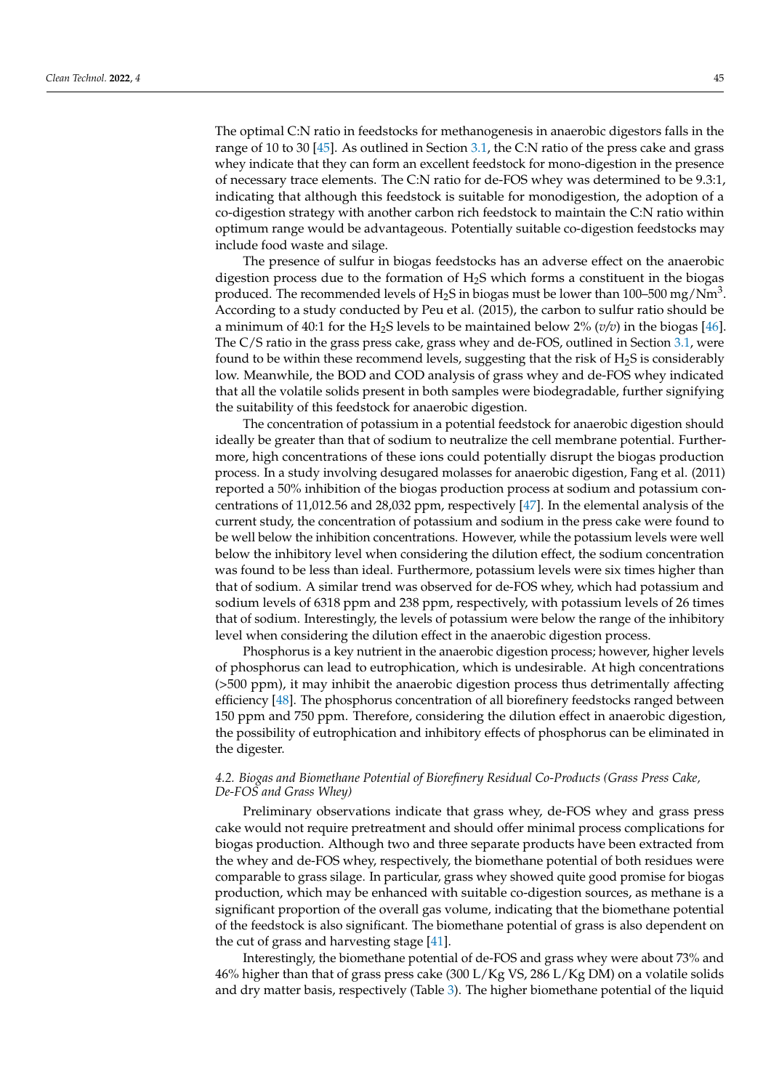The optimal C:N ratio in feedstocks for methanogenesis in anaerobic digestors falls in the range of 10 to 30 [\[45\]](#page-14-20). As outlined in Section [3.1,](#page-6-0) the C:N ratio of the press cake and grass whey indicate that they can form an excellent feedstock for mono-digestion in the presence of necessary trace elements. The C:N ratio for de-FOS whey was determined to be 9.3:1, indicating that although this feedstock is suitable for monodigestion, the adoption of a co-digestion strategy with another carbon rich feedstock to maintain the C:N ratio within optimum range would be advantageous. Potentially suitable co-digestion feedstocks may include food waste and silage.

The presence of sulfur in biogas feedstocks has an adverse effect on the anaerobic digestion process due to the formation of H2S which forms a constituent in the biogas produced. The recommended levels of  $\rm H_2S$  in biogas must be lower than 100–500 mg/Nm $^3$ . According to a study conducted by Peu et al. (2015), the carbon to sulfur ratio should be a minimum of 40:1 for the H<sub>2</sub>S levels to be maintained below 2% ( $v/v$ ) in the biogas [\[46\]](#page-14-21). The C/S ratio in the grass press cake, grass whey and de-FOS, outlined in Section [3.1,](#page-6-0) were found to be within these recommend levels, suggesting that the risk of  $H_2S$  is considerably low. Meanwhile, the BOD and COD analysis of grass whey and de-FOS whey indicated that all the volatile solids present in both samples were biodegradable, further signifying the suitability of this feedstock for anaerobic digestion.

The concentration of potassium in a potential feedstock for anaerobic digestion should ideally be greater than that of sodium to neutralize the cell membrane potential. Furthermore, high concentrations of these ions could potentially disrupt the biogas production process. In a study involving desugared molasses for anaerobic digestion, Fang et al. (2011) reported a 50% inhibition of the biogas production process at sodium and potassium concentrations of 11,012.56 and 28,032 ppm, respectively [\[47\]](#page-14-22). In the elemental analysis of the current study, the concentration of potassium and sodium in the press cake were found to be well below the inhibition concentrations. However, while the potassium levels were well below the inhibitory level when considering the dilution effect, the sodium concentration was found to be less than ideal. Furthermore, potassium levels were six times higher than that of sodium. A similar trend was observed for de-FOS whey, which had potassium and sodium levels of 6318 ppm and 238 ppm, respectively, with potassium levels of 26 times that of sodium. Interestingly, the levels of potassium were below the range of the inhibitory level when considering the dilution effect in the anaerobic digestion process.

Phosphorus is a key nutrient in the anaerobic digestion process; however, higher levels of phosphorus can lead to eutrophication, which is undesirable. At high concentrations (>500 ppm), it may inhibit the anaerobic digestion process thus detrimentally affecting efficiency [\[48\]](#page-14-23). The phosphorus concentration of all biorefinery feedstocks ranged between 150 ppm and 750 ppm. Therefore, considering the dilution effect in anaerobic digestion, the possibility of eutrophication and inhibitory effects of phosphorus can be eliminated in the digester.

## *4.2. Biogas and Biomethane Potential of Biorefinery Residual Co-Products (Grass Press Cake, De-FOS and Grass Whey)*

Preliminary observations indicate that grass whey, de-FOS whey and grass press cake would not require pretreatment and should offer minimal process complications for biogas production. Although two and three separate products have been extracted from the whey and de-FOS whey, respectively, the biomethane potential of both residues were comparable to grass silage. In particular, grass whey showed quite good promise for biogas production, which may be enhanced with suitable co-digestion sources, as methane is a significant proportion of the overall gas volume, indicating that the biomethane potential of the feedstock is also significant. The biomethane potential of grass is also dependent on the cut of grass and harvesting stage [\[41\]](#page-14-16).

Interestingly, the biomethane potential of de-FOS and grass whey were about 73% and 46% higher than that of grass press cake (300 L/Kg VS, 286 L/Kg DM) on a volatile solids and dry matter basis, respectively (Table [3\)](#page-8-0). The higher biomethane potential of the liquid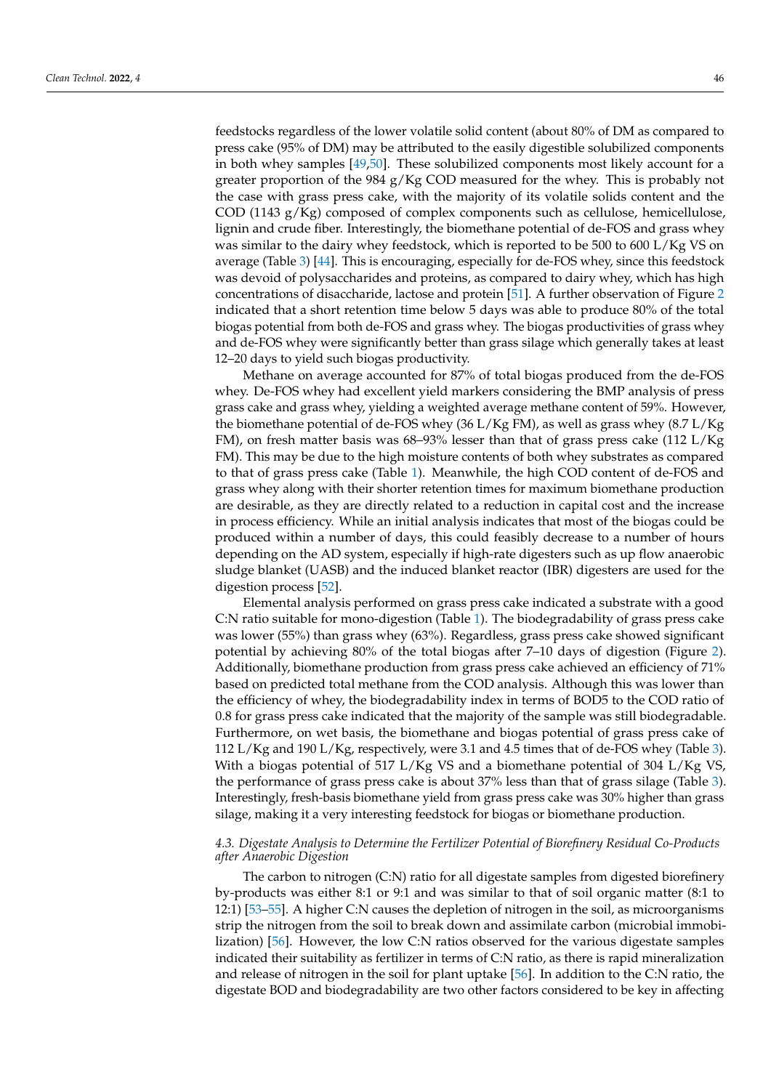feedstocks regardless of the lower volatile solid content (about 80% of DM as compared to press cake (95% of DM) may be attributed to the easily digestible solubilized components in both whey samples [\[49,](#page-14-24)[50\]](#page-15-0). These solubilized components most likely account for a greater proportion of the 984  $g/Kg$  COD measured for the whey. This is probably not the case with grass press cake, with the majority of its volatile solids content and the COD (1143 g/Kg) composed of complex components such as cellulose, hemicellulose, lignin and crude fiber. Interestingly, the biomethane potential of de-FOS and grass whey was similar to the dairy whey feedstock, which is reported to be 500 to 600 L/Kg VS on average (Table [3\)](#page-8-0) [\[44\]](#page-14-19). This is encouraging, especially for de-FOS whey, since this feedstock was devoid of polysaccharides and proteins, as compared to dairy whey, which has high concentrations of disaccharide, lactose and protein [\[51\]](#page-15-1). A further observation of Figure [2](#page-8-1) indicated that a short retention time below 5 days was able to produce 80% of the total biogas potential from both de-FOS and grass whey. The biogas productivities of grass whey and de-FOS whey were significantly better than grass silage which generally takes at least 12–20 days to yield such biogas productivity.

Methane on average accounted for 87% of total biogas produced from the de-FOS whey. De-FOS whey had excellent yield markers considering the BMP analysis of press grass cake and grass whey, yielding a weighted average methane content of 59%. However, the biomethane potential of de-FOS whey (36 L/Kg FM), as well as grass whey (8.7 L/Kg) FM), on fresh matter basis was 68–93% lesser than that of grass press cake (112 L/Kg FM). This may be due to the high moisture contents of both whey substrates as compared to that of grass press cake (Table [1\)](#page-5-0). Meanwhile, the high COD content of de-FOS and grass whey along with their shorter retention times for maximum biomethane production are desirable, as they are directly related to a reduction in capital cost and the increase in process efficiency. While an initial analysis indicates that most of the biogas could be produced within a number of days, this could feasibly decrease to a number of hours depending on the AD system, especially if high-rate digesters such as up flow anaerobic sludge blanket (UASB) and the induced blanket reactor (IBR) digesters are used for the digestion process [\[52\]](#page-15-2).

Elemental analysis performed on grass press cake indicated a substrate with a good C:N ratio suitable for mono-digestion (Table [1\)](#page-5-0). The biodegradability of grass press cake was lower (55%) than grass whey (63%). Regardless, grass press cake showed significant potential by achieving 80% of the total biogas after 7–10 days of digestion (Figure [2\)](#page-8-1). Additionally, biomethane production from grass press cake achieved an efficiency of 71% based on predicted total methane from the COD analysis. Although this was lower than the efficiency of whey, the biodegradability index in terms of BOD5 to the COD ratio of 0.8 for grass press cake indicated that the majority of the sample was still biodegradable. Furthermore, on wet basis, the biomethane and biogas potential of grass press cake of 112 L/Kg and 190 L/Kg, respectively, were 3.1 and 4.5 times that of de-FOS whey (Table [3\)](#page-8-0). With a biogas potential of 517 L/Kg VS and a biomethane potential of 304 L/Kg VS, the performance of grass press cake is about 37% less than that of grass silage (Table [3\)](#page-8-0). Interestingly, fresh-basis biomethane yield from grass press cake was 30% higher than grass silage, making it a very interesting feedstock for biogas or biomethane production.

## *4.3. Digestate Analysis to Determine the Fertilizer Potential of Biorefinery Residual Co-Products after Anaerobic Digestion*

The carbon to nitrogen (C:N) ratio for all digestate samples from digested biorefinery by-products was either 8:1 or 9:1 and was similar to that of soil organic matter (8:1 to 12:1) [\[53](#page-15-3)[–55\]](#page-15-4). A higher C:N causes the depletion of nitrogen in the soil, as microorganisms strip the nitrogen from the soil to break down and assimilate carbon (microbial immobilization) [\[56\]](#page-15-5). However, the low C:N ratios observed for the various digestate samples indicated their suitability as fertilizer in terms of C:N ratio, as there is rapid mineralization and release of nitrogen in the soil for plant uptake [\[56\]](#page-15-5). In addition to the C:N ratio, the digestate BOD and biodegradability are two other factors considered to be key in affecting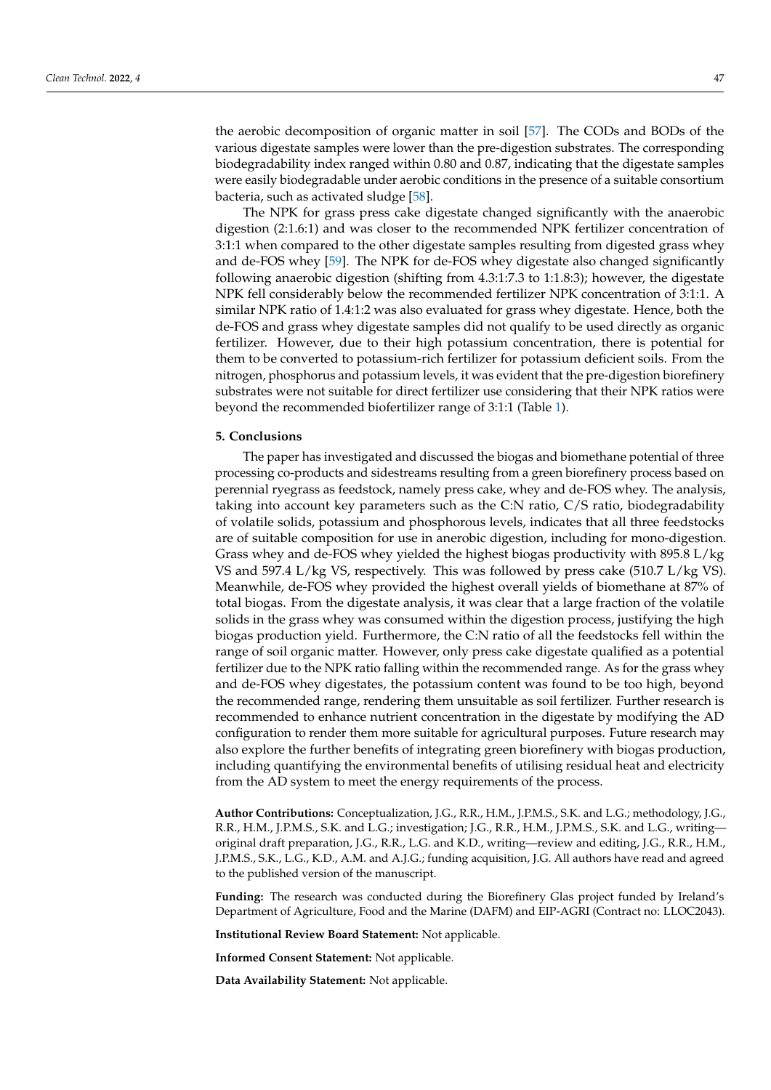the aerobic decomposition of organic matter in soil [\[57\]](#page-15-6). The CODs and BODs of the various digestate samples were lower than the pre-digestion substrates. The corresponding biodegradability index ranged within 0.80 and 0.87, indicating that the digestate samples were easily biodegradable under aerobic conditions in the presence of a suitable consortium bacteria, such as activated sludge [\[58\]](#page-15-7).

The NPK for grass press cake digestate changed significantly with the anaerobic digestion (2:1.6:1) and was closer to the recommended NPK fertilizer concentration of 3:1:1 when compared to the other digestate samples resulting from digested grass whey and de-FOS whey [\[59\]](#page-15-8). The NPK for de-FOS whey digestate also changed significantly following anaerobic digestion (shifting from 4.3:1:7.3 to 1:1.8:3); however, the digestate NPK fell considerably below the recommended fertilizer NPK concentration of 3:1:1. A similar NPK ratio of 1.4:1:2 was also evaluated for grass whey digestate. Hence, both the de-FOS and grass whey digestate samples did not qualify to be used directly as organic fertilizer. However, due to their high potassium concentration, there is potential for them to be converted to potassium-rich fertilizer for potassium deficient soils. From the nitrogen, phosphorus and potassium levels, it was evident that the pre-digestion biorefinery substrates were not suitable for direct fertilizer use considering that their NPK ratios were beyond the recommended biofertilizer range of 3:1:1 (Table [1\)](#page-5-0).

#### **5. Conclusions**

The paper has investigated and discussed the biogas and biomethane potential of three processing co-products and sidestreams resulting from a green biorefinery process based on perennial ryegrass as feedstock, namely press cake, whey and de-FOS whey. The analysis, taking into account key parameters such as the C:N ratio, C/S ratio, biodegradability of volatile solids, potassium and phosphorous levels, indicates that all three feedstocks are of suitable composition for use in anerobic digestion, including for mono-digestion. Grass whey and de-FOS whey yielded the highest biogas productivity with 895.8 L/kg VS and 597.4 L/kg VS, respectively. This was followed by press cake (510.7 L/kg VS). Meanwhile, de-FOS whey provided the highest overall yields of biomethane at 87% of total biogas. From the digestate analysis, it was clear that a large fraction of the volatile solids in the grass whey was consumed within the digestion process, justifying the high biogas production yield. Furthermore, the C:N ratio of all the feedstocks fell within the range of soil organic matter. However, only press cake digestate qualified as a potential fertilizer due to the NPK ratio falling within the recommended range. As for the grass whey and de-FOS whey digestates, the potassium content was found to be too high, beyond the recommended range, rendering them unsuitable as soil fertilizer. Further research is recommended to enhance nutrient concentration in the digestate by modifying the AD configuration to render them more suitable for agricultural purposes. Future research may also explore the further benefits of integrating green biorefinery with biogas production, including quantifying the environmental benefits of utilising residual heat and electricity from the AD system to meet the energy requirements of the process.

**Author Contributions:** Conceptualization, J.G., R.R., H.M., J.P.M.S., S.K. and L.G.; methodology, J.G., R.R., H.M., J.P.M.S., S.K. and L.G.; investigation; J.G., R.R., H.M., J.P.M.S., S.K. and L.G., writing original draft preparation, J.G., R.R., L.G. and K.D., writing—review and editing, J.G., R.R., H.M., J.P.M.S., S.K., L.G., K.D., A.M. and A.J.G.; funding acquisition, J.G. All authors have read and agreed to the published version of the manuscript.

**Funding:** The research was conducted during the Biorefinery Glas project funded by Ireland's Department of Agriculture, Food and the Marine (DAFM) and EIP-AGRI (Contract no: LLOC2043).

**Institutional Review Board Statement:** Not applicable.

**Informed Consent Statement:** Not applicable.

**Data Availability Statement:** Not applicable.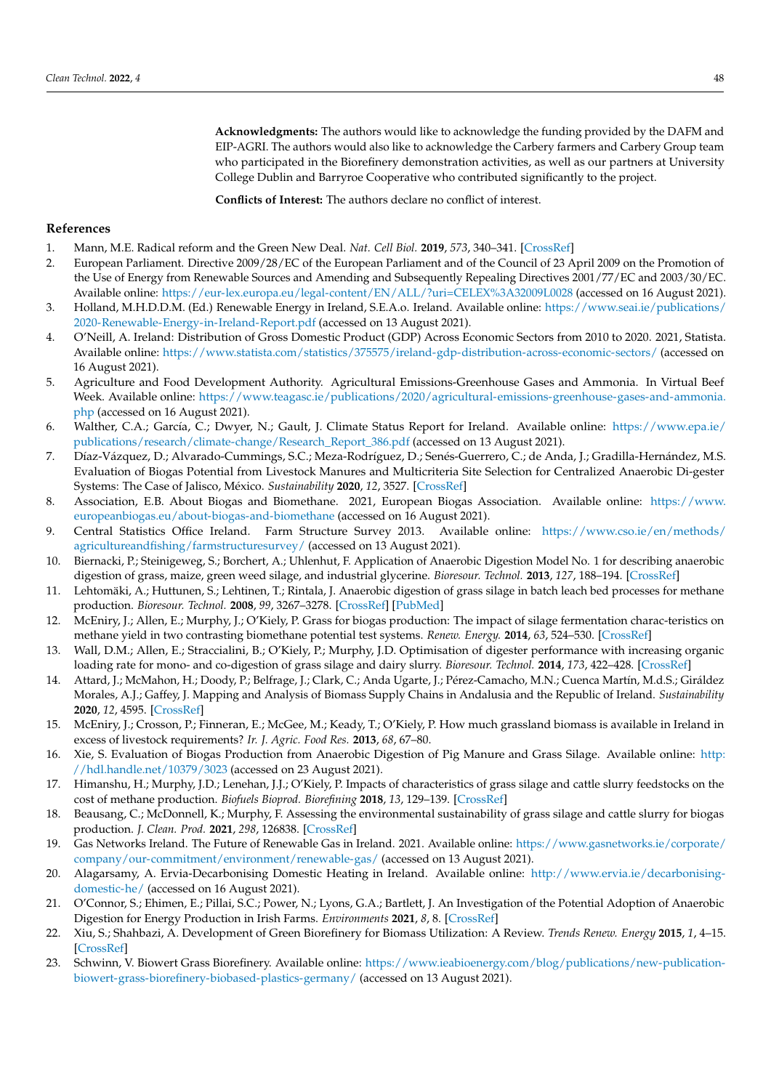**Acknowledgments:** The authors would like to acknowledge the funding provided by the DAFM and EIP-AGRI. The authors would also like to acknowledge the Carbery farmers and Carbery Group team who participated in the Biorefinery demonstration activities, as well as our partners at University College Dublin and Barryroe Cooperative who contributed significantly to the project.

**Conflicts of Interest:** The authors declare no conflict of interest.

#### **References**

- <span id="page-13-0"></span>1. Mann, M.E. Radical reform and the Green New Deal. *Nat. Cell Biol.* **2019**, *573*, 340–341. [\[CrossRef\]](http://doi.org/10.1038/d41586-019-02738-7)
- <span id="page-13-1"></span>2. European Parliament. Directive 2009/28/EC of the European Parliament and of the Council of 23 April 2009 on the Promotion of the Use of Energy from Renewable Sources and Amending and Subsequently Repealing Directives 2001/77/EC and 2003/30/EC. Available online: <https://eur-lex.europa.eu/legal-content/EN/ALL/?uri=CELEX%3A32009L0028> (accessed on 16 August 2021).
- <span id="page-13-2"></span>3. Holland, M.H.D.D.M. (Ed.) Renewable Energy in Ireland, S.E.A.o. Ireland. Available online: [https://www.seai.ie/publications/](https://www.seai.ie/publications/2020-Renewable-Energy-in-Ireland-Report.pdf) [2020-Renewable-Energy-in-Ireland-Report.pdf](https://www.seai.ie/publications/2020-Renewable-Energy-in-Ireland-Report.pdf) (accessed on 13 August 2021).
- <span id="page-13-3"></span>4. O'Neill, A. Ireland: Distribution of Gross Domestic Product (GDP) Across Economic Sectors from 2010 to 2020. 2021, Statista. Available online: <https://www.statista.com/statistics/375575/ireland-gdp-distribution-across-economic-sectors/> (accessed on 16 August 2021).
- <span id="page-13-4"></span>5. Agriculture and Food Development Authority. Agricultural Emissions-Greenhouse Gases and Ammonia. In Virtual Beef Week. Available online: [https://www.teagasc.ie/publications/2020/agricultural-emissions-greenhouse-gases-and-ammonia.](https://www.teagasc.ie/publications/2020/agricultural-emissions-greenhouse-gases-and-ammonia.php) [php](https://www.teagasc.ie/publications/2020/agricultural-emissions-greenhouse-gases-and-ammonia.php) (accessed on 16 August 2021).
- <span id="page-13-5"></span>6. Walther, C.A.; García, C.; Dwyer, N.; Gault, J. Climate Status Report for Ireland. Available online: [https://www.epa.ie/](https://www.epa.ie/publications/research/climate-change/Research_Report_386.pdf) [publications/research/climate-change/Research\\_Report\\_386.pdf](https://www.epa.ie/publications/research/climate-change/Research_Report_386.pdf) (accessed on 13 August 2021).
- <span id="page-13-6"></span>7. Díaz-Vázquez, D.; Alvarado-Cummings, S.C.; Meza-Rodríguez, D.; Senés-Guerrero, C.; de Anda, J.; Gradilla-Hernández, M.S. Evaluation of Biogas Potential from Livestock Manures and Multicriteria Site Selection for Centralized Anaerobic Di-gester Systems: The Case of Jalisco, México. *Sustainability* **2020**, *12*, 3527. [\[CrossRef\]](http://doi.org/10.3390/su12093527)
- <span id="page-13-7"></span>8. Association, E.B. About Biogas and Biomethane. 2021, European Biogas Association. Available online: [https://www.](https://www.europeanbiogas.eu/about-biogas-and-biomethane) [europeanbiogas.eu/about-biogas-and-biomethane](https://www.europeanbiogas.eu/about-biogas-and-biomethane) (accessed on 16 August 2021).<br>Central Statistics Office Ireland. Farm Structure Survey 2013. Available online: https://www.cso.ie/en/methods/
- <span id="page-13-8"></span>9. Central Statistics Office Ireland. Farm Structure Survey 2013. [agricultureandfishing/farmstructuresurvey/](https://www.cso.ie/en/methods/agricultureandfishing/farmstructuresurvey/) (accessed on 13 August 2021).
- <span id="page-13-9"></span>10. Biernacki, P.; Steinigeweg, S.; Borchert, A.; Uhlenhut, F. Application of Anaerobic Digestion Model No. 1 for describing anaerobic digestion of grass, maize, green weed silage, and industrial glycerine. *Bioresour. Technol.* **2013**, *127*, 188–194. [\[CrossRef\]](http://doi.org/10.1016/j.biortech.2012.09.128)
- 11. Lehtomäki, A.; Huttunen, S.; Lehtinen, T.; Rintala, J. Anaerobic digestion of grass silage in batch leach bed processes for methane production. *Bioresour. Technol.* **2008**, *99*, 3267–3278. [\[CrossRef\]](http://doi.org/10.1016/j.biortech.2007.04.072) [\[PubMed\]](http://www.ncbi.nlm.nih.gov/pubmed/17702572)
- <span id="page-13-10"></span>12. McEniry, J.; Allen, E.; Murphy, J.; O'Kiely, P. Grass for biogas production: The impact of silage fermentation charac-teristics on methane yield in two contrasting biomethane potential test systems. *Renew. Energy.* **2014**, *63*, 524–530. [\[CrossRef\]](http://doi.org/10.1016/j.renene.2013.09.052)
- <span id="page-13-11"></span>13. Wall, D.M.; Allen, E.; Straccialini, B.; O'Kiely, P.; Murphy, J.D. Optimisation of digester performance with increasing organic loading rate for mono- and co-digestion of grass silage and dairy slurry. *Bioresour. Technol.* **2014**, *173*, 422–428. [\[CrossRef\]](http://doi.org/10.1016/j.biortech.2014.09.126)
- <span id="page-13-12"></span>14. Attard, J.; McMahon, H.; Doody, P.; Belfrage, J.; Clark, C.; Anda Ugarte, J.; Pérez-Camacho, M.N.; Cuenca Martín, M.d.S.; Giráldez Morales, A.J.; Gaffey, J. Mapping and Analysis of Biomass Supply Chains in Andalusia and the Republic of Ireland. *Sustainability* **2020**, *12*, 4595. [\[CrossRef\]](http://doi.org/10.3390/su12114595)
- <span id="page-13-13"></span>15. McEniry, J.; Crosson, P.; Finneran, E.; McGee, M.; Keady, T.; O'Kiely, P. How much grassland biomass is available in Ireland in excess of livestock requirements? *Ir. J. Agric. Food Res.* **2013**, *68*, 67–80.
- <span id="page-13-14"></span>16. Xie, S. Evaluation of Biogas Production from Anaerobic Digestion of Pig Manure and Grass Silage. Available online: [http:](http://hdl.handle.net/10379/3023) [//hdl.handle.net/10379/3023](http://hdl.handle.net/10379/3023) (accessed on 23 August 2021).
- <span id="page-13-15"></span>17. Himanshu, H.; Murphy, J.D.; Lenehan, J.J.; O'Kiely, P. Impacts of characteristics of grass silage and cattle slurry feedstocks on the cost of methane production. *Biofuels Bioprod. Biorefining* **2018**, *13*, 129–139. [\[CrossRef\]](http://doi.org/10.1002/bbb.1947)
- <span id="page-13-16"></span>18. Beausang, C.; McDonnell, K.; Murphy, F. Assessing the environmental sustainability of grass silage and cattle slurry for biogas production. *J. Clean. Prod.* **2021**, *298*, 126838. [\[CrossRef\]](http://doi.org/10.1016/j.jclepro.2021.126838)
- <span id="page-13-17"></span>19. Gas Networks Ireland. The Future of Renewable Gas in Ireland. 2021. Available online: [https://www.gasnetworks.ie/corporate/](https://www.gasnetworks.ie/corporate/company/our-commitment/environment/renewable-gas/) [company/our-commitment/environment/renewable-gas/](https://www.gasnetworks.ie/corporate/company/our-commitment/environment/renewable-gas/) (accessed on 13 August 2021).
- <span id="page-13-18"></span>20. Alagarsamy, A. Ervia-Decarbonising Domestic Heating in Ireland. Available online: [http://www.ervia.ie/decarbonising](http://www.ervia.ie/decarbonising-domestic-he/)[domestic-he/](http://www.ervia.ie/decarbonising-domestic-he/) (accessed on 16 August 2021).
- <span id="page-13-19"></span>21. O'Connor, S.; Ehimen, E.; Pillai, S.C.; Power, N.; Lyons, G.A.; Bartlett, J. An Investigation of the Potential Adoption of Anaerobic Digestion for Energy Production in Irish Farms. *Environments* **2021**, *8*, 8. [\[CrossRef\]](http://doi.org/10.3390/environments8020008)
- <span id="page-13-20"></span>22. Xiu, S.; Shahbazi, A. Development of Green Biorefinery for Biomass Utilization: A Review. *Trends Renew. Energy* **2015**, *1*, 4–15. [\[CrossRef\]](http://doi.org/10.17737/tre.2015.1.1.008)
- <span id="page-13-21"></span>23. Schwinn, V. Biowert Grass Biorefinery. Available online: [https://www.ieabioenergy.com/blog/publications/new-publication](https://www.ieabioenergy.com/blog/publications/new-publication-biowert-grass-biorefinery-biobased-plastics-germany/)[biowert-grass-biorefinery-biobased-plastics-germany/](https://www.ieabioenergy.com/blog/publications/new-publication-biowert-grass-biorefinery-biobased-plastics-germany/) (accessed on 13 August 2021).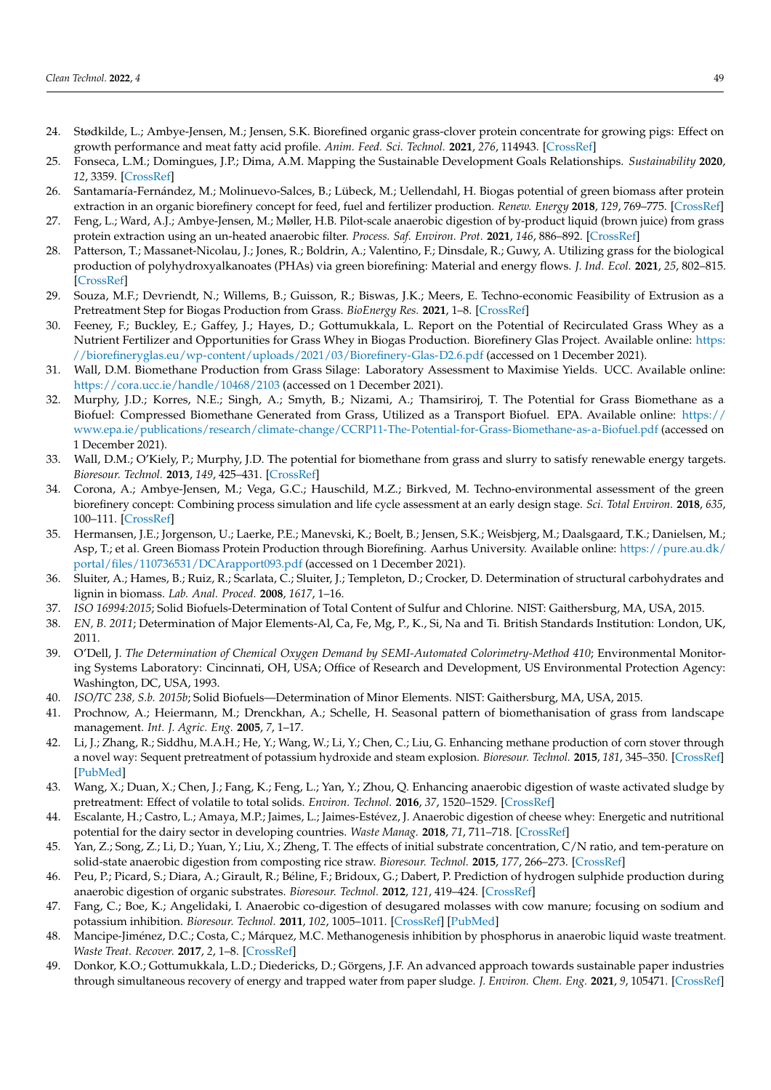- <span id="page-14-0"></span>24. Stødkilde, L.; Ambye-Jensen, M.; Jensen, S.K. Biorefined organic grass-clover protein concentrate for growing pigs: Effect on growth performance and meat fatty acid profile. *Anim. Feed. Sci. Technol.* **2021**, *276*, 114943. [\[CrossRef\]](http://doi.org/10.1016/j.anifeedsci.2021.114943)
- <span id="page-14-1"></span>25. Fonseca, L.M.; Domingues, J.P.; Dima, A.M. Mapping the Sustainable Development Goals Relationships. *Sustainability* **2020**, *12*, 3359. [\[CrossRef\]](http://doi.org/10.3390/su12083359)
- <span id="page-14-2"></span>26. Santamaría-Fernández, M.; Molinuevo-Salces, B.; Lübeck, M.; Uellendahl, H. Biogas potential of green biomass after protein extraction in an organic biorefinery concept for feed, fuel and fertilizer production. *Renew. Energy* **2018**, *129*, 769–775. [\[CrossRef\]](http://doi.org/10.1016/j.renene.2017.03.012)
- <span id="page-14-3"></span>27. Feng, L.; Ward, A.J.; Ambye-Jensen, M.; Møller, H.B. Pilot-scale anaerobic digestion of by-product liquid (brown juice) from grass protein extraction using an un-heated anaerobic filter. *Process. Saf. Environ. Prot.* **2021**, *146*, 886–892. [\[CrossRef\]](http://doi.org/10.1016/j.psep.2020.12.026)
- <span id="page-14-4"></span>28. Patterson, T.; Massanet-Nicolau, J.; Jones, R.; Boldrin, A.; Valentino, F.; Dinsdale, R.; Guwy, A. Utilizing grass for the biological production of polyhydroxyalkanoates (PHAs) via green biorefining: Material and energy flows. *J. Ind. Ecol.* **2021**, *25*, 802–815. [\[CrossRef\]](http://doi.org/10.1111/jiec.13071)
- <span id="page-14-5"></span>29. Souza, M.F.; Devriendt, N.; Willems, B.; Guisson, R.; Biswas, J.K.; Meers, E. Techno-economic Feasibility of Extrusion as a Pretreatment Step for Biogas Production from Grass. *BioEnergy Res.* **2021**, 1–8. [\[CrossRef\]](http://doi.org/10.1007/s12155-021-10287-z)
- <span id="page-14-6"></span>30. Feeney, F.; Buckley, E.; Gaffey, J.; Hayes, D.; Gottumukkala, L. Report on the Potential of Recirculated Grass Whey as a Nutrient Fertilizer and Opportunities for Grass Whey in Biogas Production. Biorefinery Glas Project. Available online: [https:](https://biorefineryglas.eu/wp-content/uploads/2021/03/Biorefinery-Glas-D2.6.pdf) [//biorefineryglas.eu/wp-content/uploads/2021/03/Biorefinery-Glas-D2.6.pdf](https://biorefineryglas.eu/wp-content/uploads/2021/03/Biorefinery-Glas-D2.6.pdf) (accessed on 1 December 2021).
- <span id="page-14-7"></span>31. Wall, D.M. Biomethane Production from Grass Silage: Laboratory Assessment to Maximise Yields. UCC. Available online: <https://cora.ucc.ie/handle/10468/2103> (accessed on 1 December 2021).
- 32. Murphy, J.D.; Korres, N.E.; Singh, A.; Smyth, B.; Nizami, A.; Thamsiriroj, T. The Potential for Grass Biomethane as a Biofuel: Compressed Biomethane Generated from Grass, Utilized as a Transport Biofuel. EPA. Available online: [https://](https://www.epa.ie/publications/research/climate-change/CCRP11-The-Potential-for-Grass-Biomethane-as-a-Biofuel.pdf) [www.epa.ie/publications/research/climate-change/CCRP11-The-Potential-for-Grass-Biomethane-as-a-Biofuel.pdf](https://www.epa.ie/publications/research/climate-change/CCRP11-The-Potential-for-Grass-Biomethane-as-a-Biofuel.pdf) (accessed on 1 December 2021).
- <span id="page-14-8"></span>33. Wall, D.M.; O'Kiely, P.; Murphy, J.D. The potential for biomethane from grass and slurry to satisfy renewable energy targets. *Bioresour. Technol.* **2013**, *149*, 425–431. [\[CrossRef\]](http://doi.org/10.1016/j.biortech.2013.09.094)
- <span id="page-14-9"></span>34. Corona, A.; Ambye-Jensen, M.; Vega, G.C.; Hauschild, M.Z.; Birkved, M. Techno-environmental assessment of the green biorefinery concept: Combining process simulation and life cycle assessment at an early design stage. *Sci. Total Environ.* **2018**, *635*, 100–111. [\[CrossRef\]](http://doi.org/10.1016/j.scitotenv.2018.03.357)
- <span id="page-14-10"></span>35. Hermansen, J.E.; Jorgenson, U.; Laerke, P.E.; Manevski, K.; Boelt, B.; Jensen, S.K.; Weisbjerg, M.; Daalsgaard, T.K.; Danielsen, M.; Asp, T.; et al. Green Biomass Protein Production through Biorefining. Aarhus University. Available online: [https://pure.au.dk/](https://pure.au.dk/portal/files/110736531/DCArapport093.pdf) [portal/files/110736531/DCArapport093.pdf](https://pure.au.dk/portal/files/110736531/DCArapport093.pdf) (accessed on 1 December 2021).
- <span id="page-14-11"></span>36. Sluiter, A.; Hames, B.; Ruiz, R.; Scarlata, C.; Sluiter, J.; Templeton, D.; Crocker, D. Determination of structural carbohydrates and lignin in biomass. *Lab. Anal. Proced.* **2008**, *1617*, 1–16.
- <span id="page-14-12"></span>37. *ISO 16994:2015*; Solid Biofuels-Determination of Total Content of Sulfur and Chlorine. NIST: Gaithersburg, MA, USA, 2015.
- <span id="page-14-13"></span>38. *EN, B. 2011*; Determination of Major Elements-Al, Ca, Fe, Mg, P., K., Si, Na and Ti. British Standards Institution: London, UK, 2011.
- <span id="page-14-14"></span>39. O'Dell, J. *The Determination of Chemical Oxygen Demand by SEMI-Automated Colorimetry-Method 410*; Environmental Monitoring Systems Laboratory: Cincinnati, OH, USA; Office of Research and Development, US Environmental Protection Agency: Washington, DC, USA, 1993.
- <span id="page-14-15"></span>40. *ISO/TC 238, S.b. 2015b*; Solid Biofuels—Determination of Minor Elements. NIST: Gaithersburg, MA, USA, 2015.
- <span id="page-14-16"></span>41. Prochnow, A.; Heiermann, M.; Drenckhan, A.; Schelle, H. Seasonal pattern of biomethanisation of grass from landscape management. *Int. J. Agric. Eng.* **2005**, *7*, 1–17.
- <span id="page-14-17"></span>42. Li, J.; Zhang, R.; Siddhu, M.A.H.; He, Y.; Wang, W.; Li, Y.; Chen, C.; Liu, G. Enhancing methane production of corn stover through a novel way: Sequent pretreatment of potassium hydroxide and steam explosion. *Bioresour. Technol.* **2015**, *181*, 345–350. [\[CrossRef\]](http://doi.org/10.1016/j.biortech.2015.01.050) [\[PubMed\]](http://www.ncbi.nlm.nih.gov/pubmed/25681690)
- <span id="page-14-18"></span>43. Wang, X.; Duan, X.; Chen, J.; Fang, K.; Feng, L.; Yan, Y.; Zhou, Q. Enhancing anaerobic digestion of waste activated sludge by pretreatment: Effect of volatile to total solids. *Environ. Technol.* **2016**, *37*, 1520–1529. [\[CrossRef\]](http://doi.org/10.1080/09593330.2015.1120783)
- <span id="page-14-19"></span>44. Escalante, H.; Castro, L.; Amaya, M.P.; Jaimes, L.; Jaimes-Estévez, J. Anaerobic digestion of cheese whey: Energetic and nutritional potential for the dairy sector in developing countries. *Waste Manag.* **2018**, *71*, 711–718. [\[CrossRef\]](http://doi.org/10.1016/j.wasman.2017.09.026)
- <span id="page-14-20"></span>45. Yan, Z.; Song, Z.; Li, D.; Yuan, Y.; Liu, X.; Zheng, T. The effects of initial substrate concentration, C/N ratio, and tem-perature on solid-state anaerobic digestion from composting rice straw. *Bioresour. Technol.* **2015**, *177*, 266–273. [\[CrossRef\]](http://doi.org/10.1016/j.biortech.2014.11.089)
- <span id="page-14-21"></span>46. Peu, P.; Picard, S.; Diara, A.; Girault, R.; Béline, F.; Bridoux, G.; Dabert, P. Prediction of hydrogen sulphide production during anaerobic digestion of organic substrates. *Bioresour. Technol.* **2012**, *121*, 419–424. [\[CrossRef\]](http://doi.org/10.1016/j.biortech.2012.06.112)
- <span id="page-14-22"></span>47. Fang, C.; Boe, K.; Angelidaki, I. Anaerobic co-digestion of desugared molasses with cow manure; focusing on sodium and potassium inhibition. *Bioresour. Technol.* **2011**, *102*, 1005–1011. [\[CrossRef\]](http://doi.org/10.1016/j.biortech.2010.09.077) [\[PubMed\]](http://www.ncbi.nlm.nih.gov/pubmed/20951579)
- <span id="page-14-23"></span>48. Mancipe-Jiménez, D.C.; Costa, C.; Márquez, M.C. Methanogenesis inhibition by phosphorus in anaerobic liquid waste treatment. *Waste Treat. Recover.* **2017**, *2*, 1–8. [\[CrossRef\]](http://doi.org/10.1515/lwr-2017-0001)
- <span id="page-14-24"></span>49. Donkor, K.O.; Gottumukkala, L.D.; Diedericks, D.; Görgens, J.F. An advanced approach towards sustainable paper industries through simultaneous recovery of energy and trapped water from paper sludge. *J. Environ. Chem. Eng.* **2021**, *9*, 105471. [\[CrossRef\]](http://doi.org/10.1016/j.jece.2021.105471)